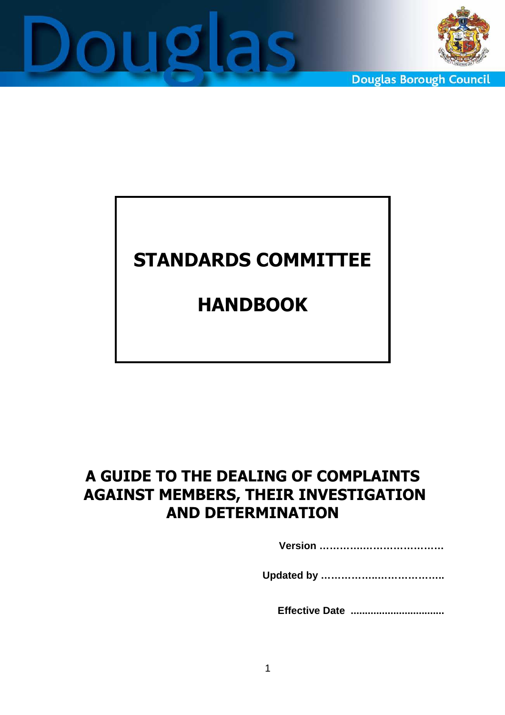



**Douglas Borough Council** 

# STANDARDS COMMITTEE

# HANDBOOK

# A GUIDE TO THE DEALING OF COMPLAINTS AGAINST MEMBERS, THEIR INVESTIGATION AND DETERMINATION

**Version ………….……………………** 

**Updated by ……………..………………..** 

 **Effective Date .................................**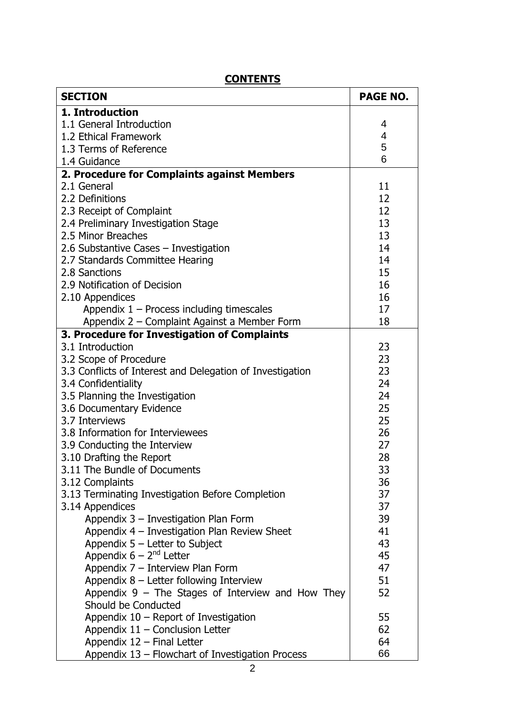| <b>SECTION</b>                                            | <b>PAGE NO.</b> |
|-----------------------------------------------------------|-----------------|
| 1. Introduction                                           |                 |
| 1.1 General Introduction                                  | 4               |
| 1.2 Ethical Framework                                     | 4               |
| 1.3 Terms of Reference                                    | 5               |
| 1.4 Guidance                                              | 6               |
| 2. Procedure for Complaints against Members               |                 |
| 2.1 General                                               | 11              |
| 2.2 Definitions                                           | 12              |
| 2.3 Receipt of Complaint                                  | 12              |
| 2.4 Preliminary Investigation Stage                       | 13              |
| 2.5 Minor Breaches                                        | 13              |
| 2.6 Substantive Cases - Investigation                     | 14              |
| 2.7 Standards Committee Hearing                           | 14              |
| 2.8 Sanctions                                             | 15              |
| 2.9 Notification of Decision                              | 16              |
| 2.10 Appendices                                           | 16              |
| Appendix $1 -$ Process including timescales               | 17              |
| Appendix 2 - Complaint Against a Member Form              | 18              |
| 3. Procedure for Investigation of Complaints              |                 |
| 3.1 Introduction                                          | 23              |
| 3.2 Scope of Procedure                                    | 23              |
| 3.3 Conflicts of Interest and Delegation of Investigation | 23              |
| 3.4 Confidentiality                                       | 24              |
| 3.5 Planning the Investigation                            | 24              |
| 3.6 Documentary Evidence                                  | 25              |
| 3.7 Interviews                                            | 25              |
| 3.8 Information for Interviewees                          | 26              |
| 3.9 Conducting the Interview                              | 27              |
| 3.10 Drafting the Report                                  | 28              |
| 3.11 The Bundle of Documents                              | 33              |
| 3.12 Complaints                                           | 36              |
| 3.13 Terminating Investigation Before Completion          | 37              |
| 3.14 Appendices                                           | 37              |
| Appendix 3 - Investigation Plan Form                      | 39              |
| Appendix 4 - Investigation Plan Review Sheet              | 41              |
| Appendix $5$ – Letter to Subject                          | 43              |
| Appendix $6 - 2nd$ Letter                                 | 45              |
| Appendix 7 - Interview Plan Form                          | 47              |
| Appendix $8$ – Letter following Interview                 | 51              |
| Appendix $9$ – The Stages of Interview and How They       | 52              |
| Should be Conducted                                       |                 |
| Appendix $10$ – Report of Investigation                   | 55              |
| Appendix $11$ – Conclusion Letter                         | 62              |
| Appendix 12 - Final Letter                                | 64              |
| Appendix 13 - Flowchart of Investigation Process          | 66              |

#### **CONTENTS**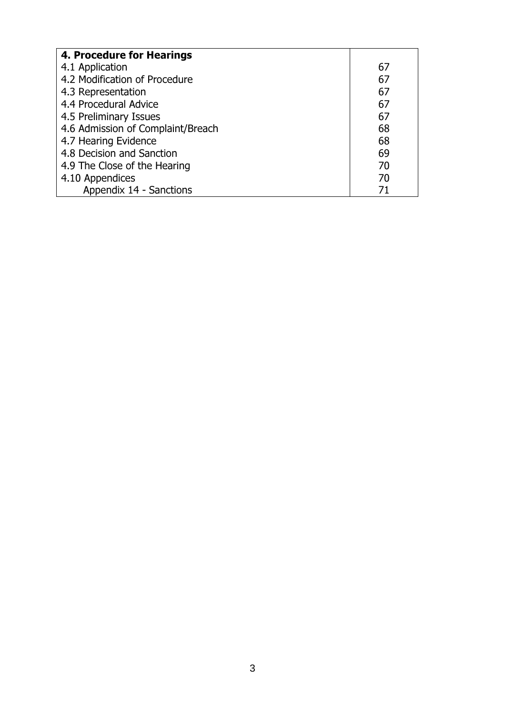| 4. Procedure for Hearings         |    |
|-----------------------------------|----|
| 4.1 Application                   | 67 |
| 4.2 Modification of Procedure     | 67 |
| 4.3 Representation                | 67 |
| 4.4 Procedural Advice             | 67 |
| 4.5 Preliminary Issues            | 67 |
| 4.6 Admission of Complaint/Breach | 68 |
| 4.7 Hearing Evidence              | 68 |
| 4.8 Decision and Sanction         | 69 |
| 4.9 The Close of the Hearing      | 70 |
| 4.10 Appendices                   | 70 |
| Appendix 14 - Sanctions           | 71 |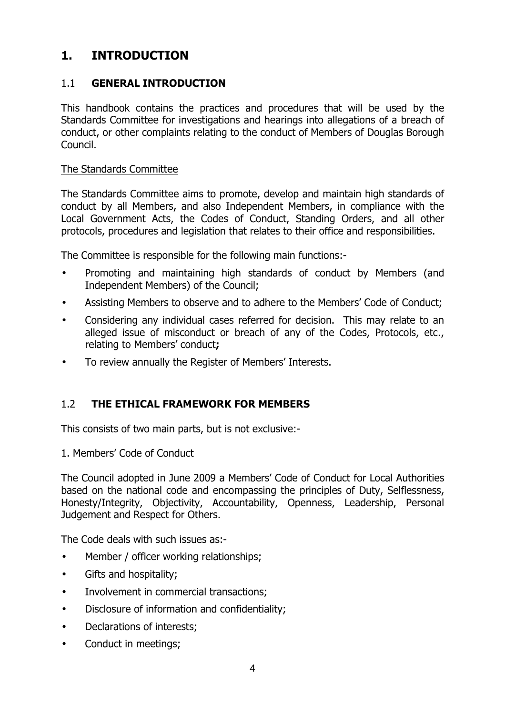### 1. INTRODUCTION

#### 1.1 GENERAL INTRODUCTION

This handbook contains the practices and procedures that will be used by the Standards Committee for investigations and hearings into allegations of a breach of conduct, or other complaints relating to the conduct of Members of Douglas Borough Council.

#### The Standards Committee

The Standards Committee aims to promote, develop and maintain high standards of conduct by all Members, and also Independent Members, in compliance with the Local Government Acts, the Codes of Conduct, Standing Orders, and all other protocols, procedures and legislation that relates to their office and responsibilities.

The Committee is responsible for the following main functions:-

- Promoting and maintaining high standards of conduct by Members (and Independent Members) of the Council;
- Assisting Members to observe and to adhere to the Members' Code of Conduct;
- Considering any individual cases referred for decision. This may relate to an alleged issue of misconduct or breach of any of the Codes, Protocols, etc., relating to Members' conduct;
- To review annually the Register of Members' Interests.

#### 1.2 THE ETHICAL FRAMEWORK FOR MEMBERS

This consists of two main parts, but is not exclusive:-

1. Members' Code of Conduct

The Council adopted in June 2009 a Members' Code of Conduct for Local Authorities based on the national code and encompassing the principles of Duty, Selflessness, Honesty/Integrity, Objectivity, Accountability, Openness, Leadership, Personal Judgement and Respect for Others.

The Code deals with such issues as:-

- Member / officer working relationships;
- Gifts and hospitality;
- Involvement in commercial transactions;
- Disclosure of information and confidentiality;
- Declarations of interests;
- Conduct in meetings;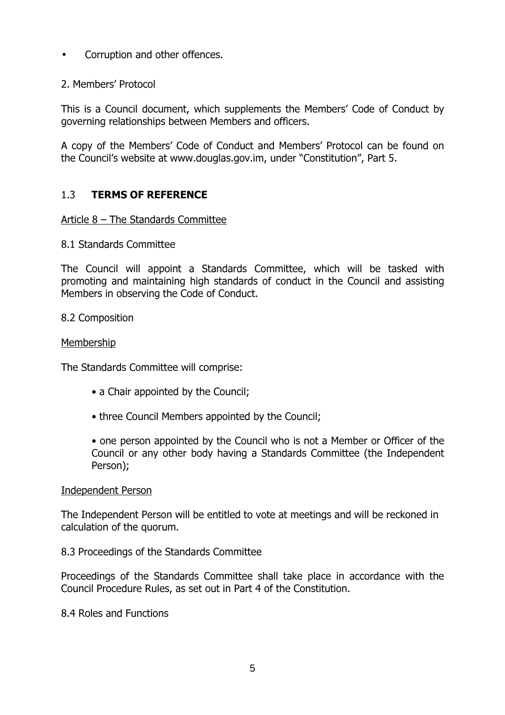- Corruption and other offences.
- 2. Members' Protocol

This is a Council document, which supplements the Members' Code of Conduct by governing relationships between Members and officers.

A copy of the Members' Code of Conduct and Members' Protocol can be found on the Council's website at www.douglas.gov.im, under "Constitution", Part 5.

#### 1.3 TERMS OF REFERENCE

#### Article 8 – The Standards Committee

8.1 Standards Committee

The Council will appoint a Standards Committee, which will be tasked with promoting and maintaining high standards of conduct in the Council and assisting Members in observing the Code of Conduct.

#### 8.2 Composition

#### Membership

The Standards Committee will comprise:

- a Chair appointed by the Council;
- three Council Members appointed by the Council;
- one person appointed by the Council who is not a Member or Officer of the Council or any other body having a Standards Committee (the Independent Person);

#### Independent Person

The Independent Person will be entitled to vote at meetings and will be reckoned in calculation of the quorum.

#### 8.3 Proceedings of the Standards Committee

Proceedings of the Standards Committee shall take place in accordance with the Council Procedure Rules, as set out in Part 4 of the Constitution.

8.4 Roles and Functions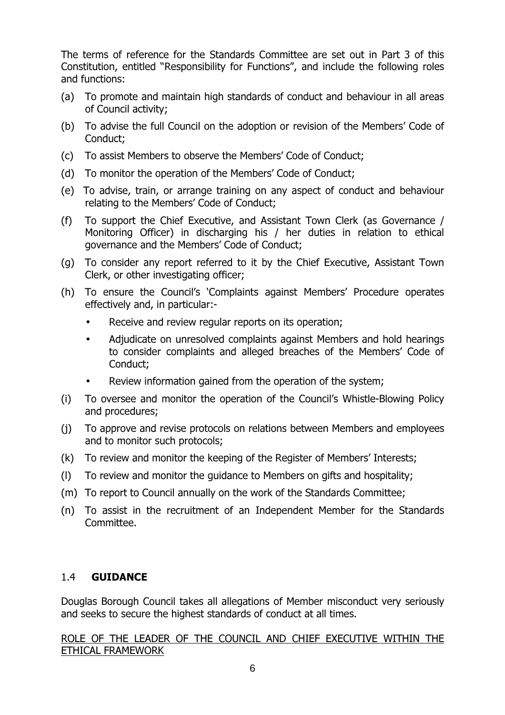The terms of reference for the Standards Committee are set out in Part 3 of this Constitution, entitled "Responsibility for Functions", and include the following roles and functions:

- (a) To promote and maintain high standards of conduct and behaviour in all areas of Council activity;
- (b) To advise the full Council on the adoption or revision of the Members' Code of Conduct;
- (c) To assist Members to observe the Members' Code of Conduct;
- (d) To monitor the operation of the Members' Code of Conduct;
- (e) To advise, train, or arrange training on any aspect of conduct and behaviour relating to the Members' Code of Conduct;
- (f) To support the Chief Executive, and Assistant Town Clerk (as Governance / Monitoring Officer) in discharging his / her duties in relation to ethical governance and the Members' Code of Conduct;
- (g) To consider any report referred to it by the Chief Executive, Assistant Town Clerk, or other investigating officer;
- (h) To ensure the Council's 'Complaints against Members' Procedure operates effectively and, in particular:-
	- Receive and review regular reports on its operation;
	- Adjudicate on unresolved complaints against Members and hold hearings to consider complaints and alleged breaches of the Members' Code of Conduct;
	- Review information gained from the operation of the system;
- (i) To oversee and monitor the operation of the Council's Whistle-Blowing Policy and procedures;
- (j) To approve and revise protocols on relations between Members and employees and to monitor such protocols;
- (k) To review and monitor the keeping of the Register of Members' Interests;
- (l) To review and monitor the guidance to Members on gifts and hospitality;
- (m) To report to Council annually on the work of the Standards Committee;
- (n) To assist in the recruitment of an Independent Member for the Standards Committee.

#### 1.4 GUIDANCE

Douglas Borough Council takes all allegations of Member misconduct very seriously and seeks to secure the highest standards of conduct at all times.

ROLE OF THE LEADER OF THE COUNCIL AND CHIEF EXECUTIVE WITHIN THE ETHICAL FRAMEWORK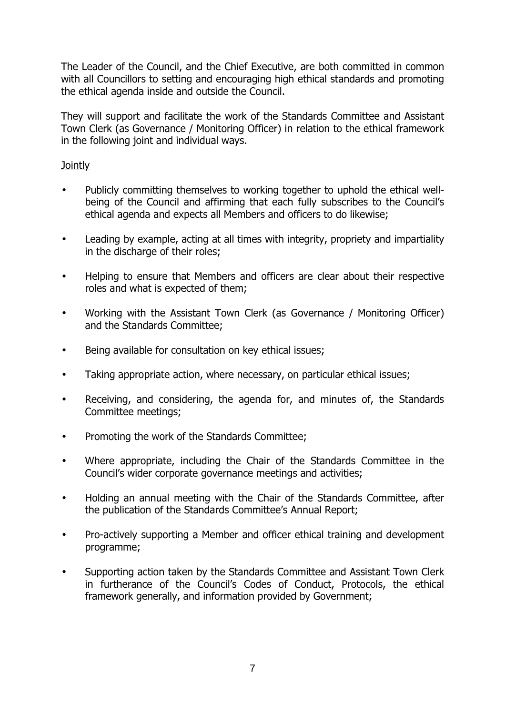The Leader of the Council, and the Chief Executive, are both committed in common with all Councillors to setting and encouraging high ethical standards and promoting the ethical agenda inside and outside the Council.

They will support and facilitate the work of the Standards Committee and Assistant Town Clerk (as Governance / Monitoring Officer) in relation to the ethical framework in the following joint and individual ways.

#### **Jointly**

- Publicly committing themselves to working together to uphold the ethical wellbeing of the Council and affirming that each fully subscribes to the Council's ethical agenda and expects all Members and officers to do likewise;
- Leading by example, acting at all times with integrity, propriety and impartiality in the discharge of their roles;
- Helping to ensure that Members and officers are clear about their respective roles and what is expected of them;
- Working with the Assistant Town Clerk (as Governance / Monitoring Officer) and the Standards Committee;
- Being available for consultation on key ethical issues;
- Taking appropriate action, where necessary, on particular ethical issues;
- Receiving, and considering, the agenda for, and minutes of, the Standards Committee meetings;
- Promoting the work of the Standards Committee;
- Where appropriate, including the Chair of the Standards Committee in the Council's wider corporate governance meetings and activities;
- Holding an annual meeting with the Chair of the Standards Committee, after the publication of the Standards Committee's Annual Report;
- Pro-actively supporting a Member and officer ethical training and development programme;
- Supporting action taken by the Standards Committee and Assistant Town Clerk in furtherance of the Council's Codes of Conduct, Protocols, the ethical framework generally, and information provided by Government;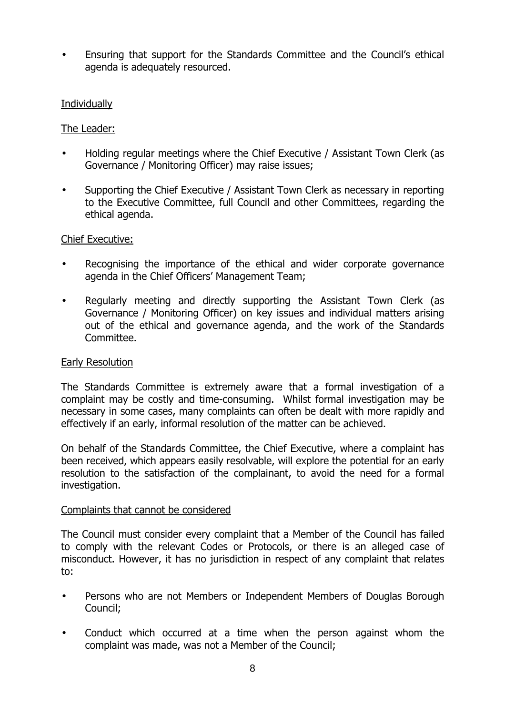• Ensuring that support for the Standards Committee and the Council's ethical agenda is adequately resourced.

#### **Individually**

#### The Leader:

- Holding regular meetings where the Chief Executive / Assistant Town Clerk (as Governance / Monitoring Officer) may raise issues;
- Supporting the Chief Executive / Assistant Town Clerk as necessary in reporting to the Executive Committee, full Council and other Committees, regarding the ethical agenda.

#### Chief Executive:

- Recognising the importance of the ethical and wider corporate governance agenda in the Chief Officers' Management Team;
- Regularly meeting and directly supporting the Assistant Town Clerk (as Governance / Monitoring Officer) on key issues and individual matters arising out of the ethical and governance agenda, and the work of the Standards Committee.

#### Early Resolution

The Standards Committee is extremely aware that a formal investigation of a complaint may be costly and time-consuming. Whilst formal investigation may be necessary in some cases, many complaints can often be dealt with more rapidly and effectively if an early, informal resolution of the matter can be achieved.

On behalf of the Standards Committee, the Chief Executive, where a complaint has been received, which appears easily resolvable, will explore the potential for an early resolution to the satisfaction of the complainant, to avoid the need for a formal investigation.

#### Complaints that cannot be considered

The Council must consider every complaint that a Member of the Council has failed to comply with the relevant Codes or Protocols, or there is an alleged case of misconduct. However, it has no jurisdiction in respect of any complaint that relates to:

- Persons who are not Members or Independent Members of Douglas Borough Council;
- Conduct which occurred at a time when the person against whom the complaint was made, was not a Member of the Council;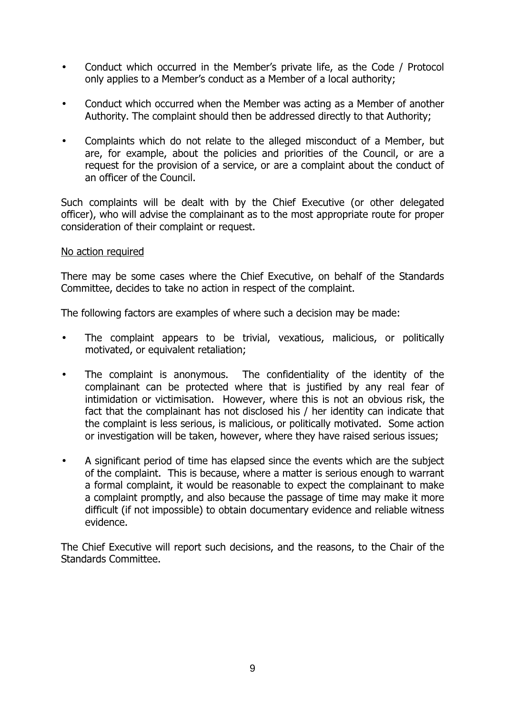- Conduct which occurred in the Member's private life, as the Code / Protocol only applies to a Member's conduct as a Member of a local authority;
- Conduct which occurred when the Member was acting as a Member of another Authority. The complaint should then be addressed directly to that Authority;
- Complaints which do not relate to the alleged misconduct of a Member, but are, for example, about the policies and priorities of the Council, or are a request for the provision of a service, or are a complaint about the conduct of an officer of the Council.

Such complaints will be dealt with by the Chief Executive (or other delegated officer), who will advise the complainant as to the most appropriate route for proper consideration of their complaint or request.

#### No action required

There may be some cases where the Chief Executive, on behalf of the Standards Committee, decides to take no action in respect of the complaint.

The following factors are examples of where such a decision may be made:

- The complaint appears to be trivial, vexatious, malicious, or politically motivated, or equivalent retaliation;
- The complaint is anonymous. The confidentiality of the identity of the complainant can be protected where that is justified by any real fear of intimidation or victimisation. However, where this is not an obvious risk, the fact that the complainant has not disclosed his / her identity can indicate that the complaint is less serious, is malicious, or politically motivated. Some action or investigation will be taken, however, where they have raised serious issues;
- A significant period of time has elapsed since the events which are the subject of the complaint. This is because, where a matter is serious enough to warrant a formal complaint, it would be reasonable to expect the complainant to make a complaint promptly, and also because the passage of time may make it more difficult (if not impossible) to obtain documentary evidence and reliable witness evidence.

The Chief Executive will report such decisions, and the reasons, to the Chair of the Standards Committee.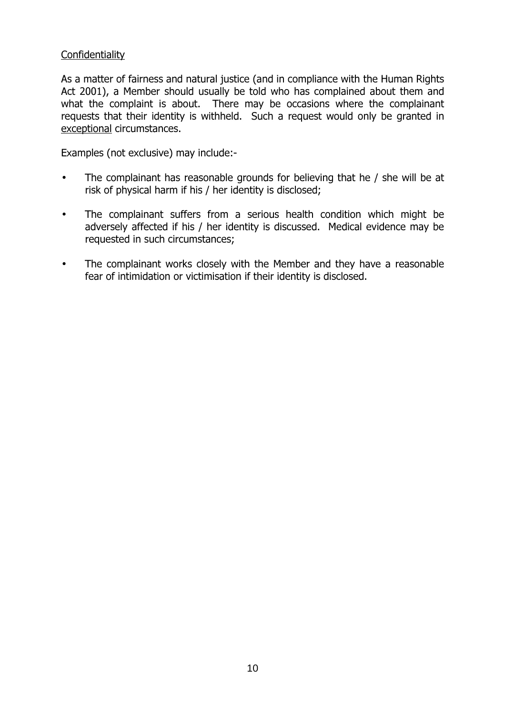#### **Confidentiality**

As a matter of fairness and natural justice (and in compliance with the Human Rights Act 2001), a Member should usually be told who has complained about them and what the complaint is about. There may be occasions where the complainant requests that their identity is withheld. Such a request would only be granted in exceptional circumstances.

Examples (not exclusive) may include:-

- The complainant has reasonable grounds for believing that he / she will be at risk of physical harm if his / her identity is disclosed;
- The complainant suffers from a serious health condition which might be adversely affected if his / her identity is discussed. Medical evidence may be requested in such circumstances;
- The complainant works closely with the Member and they have a reasonable fear of intimidation or victimisation if their identity is disclosed.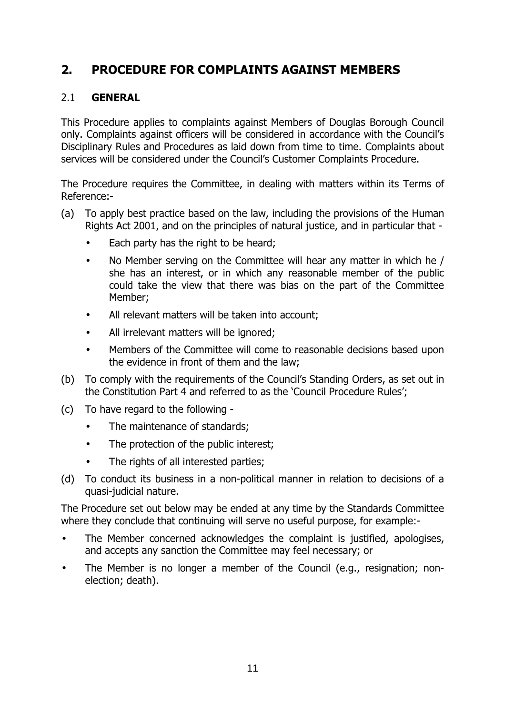## 2. PROCEDURE FOR COMPLAINTS AGAINST MEMBERS

#### 2.1 GENERAL

This Procedure applies to complaints against Members of Douglas Borough Council only. Complaints against officers will be considered in accordance with the Council's Disciplinary Rules and Procedures as laid down from time to time. Complaints about services will be considered under the Council's Customer Complaints Procedure.

The Procedure requires the Committee, in dealing with matters within its Terms of Reference:-

- (a) To apply best practice based on the law, including the provisions of the Human Rights Act 2001, and on the principles of natural justice, and in particular that -
	- Each party has the right to be heard;
	- No Member serving on the Committee will hear any matter in which he / she has an interest, or in which any reasonable member of the public could take the view that there was bias on the part of the Committee Member;
	- All relevant matters will be taken into account:
	- All irrelevant matters will be ignored;
	- Members of the Committee will come to reasonable decisions based upon the evidence in front of them and the law;
- (b) To comply with the requirements of the Council's Standing Orders, as set out in the Constitution Part 4 and referred to as the 'Council Procedure Rules';
- (c) To have regard to the following
	- The maintenance of standards:
	- The protection of the public interest:
	- The rights of all interested parties;
- (d) To conduct its business in a non-political manner in relation to decisions of a quasi-judicial nature.

The Procedure set out below may be ended at any time by the Standards Committee where they conclude that continuing will serve no useful purpose, for example:-

- The Member concerned acknowledges the complaint is justified, apologises, and accepts any sanction the Committee may feel necessary; or
- The Member is no longer a member of the Council (e.g., resignation; nonelection; death).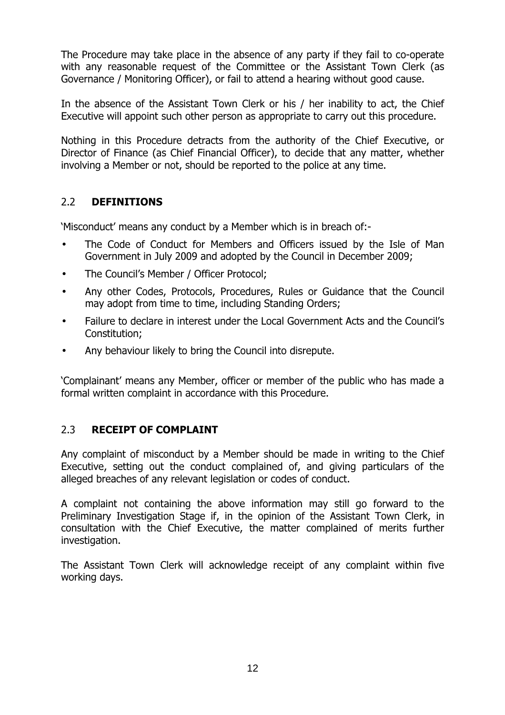The Procedure may take place in the absence of any party if they fail to co-operate with any reasonable request of the Committee or the Assistant Town Clerk (as Governance / Monitoring Officer), or fail to attend a hearing without good cause.

In the absence of the Assistant Town Clerk or his / her inability to act, the Chief Executive will appoint such other person as appropriate to carry out this procedure.

Nothing in this Procedure detracts from the authority of the Chief Executive, or Director of Finance (as Chief Financial Officer), to decide that any matter, whether involving a Member or not, should be reported to the police at any time.

#### 2.2 DEFINITIONS

'Misconduct' means any conduct by a Member which is in breach of:-

- The Code of Conduct for Members and Officers issued by the Isle of Man Government in July 2009 and adopted by the Council in December 2009;
- The Council's Member / Officer Protocol;
- Any other Codes, Protocols, Procedures, Rules or Guidance that the Council may adopt from time to time, including Standing Orders;
- Failure to declare in interest under the Local Government Acts and the Council's Constitution;
- Any behaviour likely to bring the Council into disrepute.

'Complainant' means any Member, officer or member of the public who has made a formal written complaint in accordance with this Procedure.

#### 2.3 RECEIPT OF COMPLAINT

Any complaint of misconduct by a Member should be made in writing to the Chief Executive, setting out the conduct complained of, and giving particulars of the alleged breaches of any relevant legislation or codes of conduct.

A complaint not containing the above information may still go forward to the Preliminary Investigation Stage if, in the opinion of the Assistant Town Clerk, in consultation with the Chief Executive, the matter complained of merits further investigation.

The Assistant Town Clerk will acknowledge receipt of any complaint within five working days.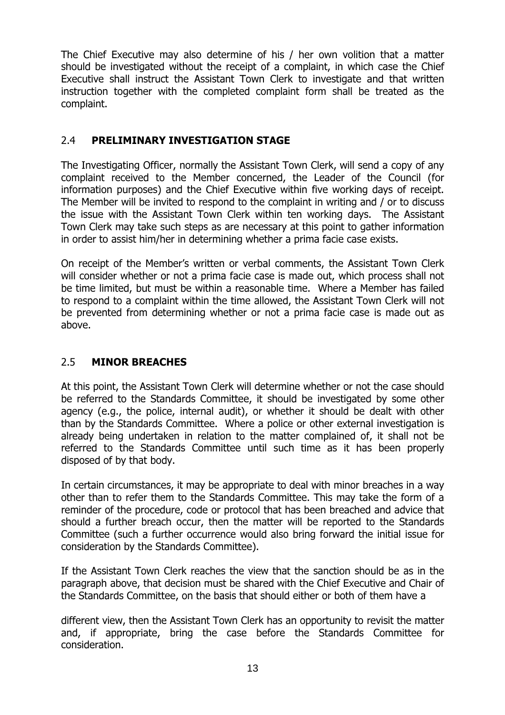The Chief Executive may also determine of his / her own volition that a matter should be investigated without the receipt of a complaint, in which case the Chief Executive shall instruct the Assistant Town Clerk to investigate and that written instruction together with the completed complaint form shall be treated as the complaint.

#### 2.4 PRELIMINARY INVESTIGATION STAGE

The Investigating Officer, normally the Assistant Town Clerk, will send a copy of any complaint received to the Member concerned, the Leader of the Council (for information purposes) and the Chief Executive within five working days of receipt. The Member will be invited to respond to the complaint in writing and / or to discuss the issue with the Assistant Town Clerk within ten working days. The Assistant Town Clerk may take such steps as are necessary at this point to gather information in order to assist him/her in determining whether a prima facie case exists.

On receipt of the Member's written or verbal comments, the Assistant Town Clerk will consider whether or not a prima facie case is made out, which process shall not be time limited, but must be within a reasonable time. Where a Member has failed to respond to a complaint within the time allowed, the Assistant Town Clerk will not be prevented from determining whether or not a prima facie case is made out as above.

#### 2.5 MINOR BREACHES

At this point, the Assistant Town Clerk will determine whether or not the case should be referred to the Standards Committee, it should be investigated by some other agency (e.g., the police, internal audit), or whether it should be dealt with other than by the Standards Committee. Where a police or other external investigation is already being undertaken in relation to the matter complained of, it shall not be referred to the Standards Committee until such time as it has been properly disposed of by that body.

In certain circumstances, it may be appropriate to deal with minor breaches in a way other than to refer them to the Standards Committee. This may take the form of a reminder of the procedure, code or protocol that has been breached and advice that should a further breach occur, then the matter will be reported to the Standards Committee (such a further occurrence would also bring forward the initial issue for consideration by the Standards Committee).

If the Assistant Town Clerk reaches the view that the sanction should be as in the paragraph above, that decision must be shared with the Chief Executive and Chair of the Standards Committee, on the basis that should either or both of them have a

different view, then the Assistant Town Clerk has an opportunity to revisit the matter and, if appropriate, bring the case before the Standards Committee for consideration.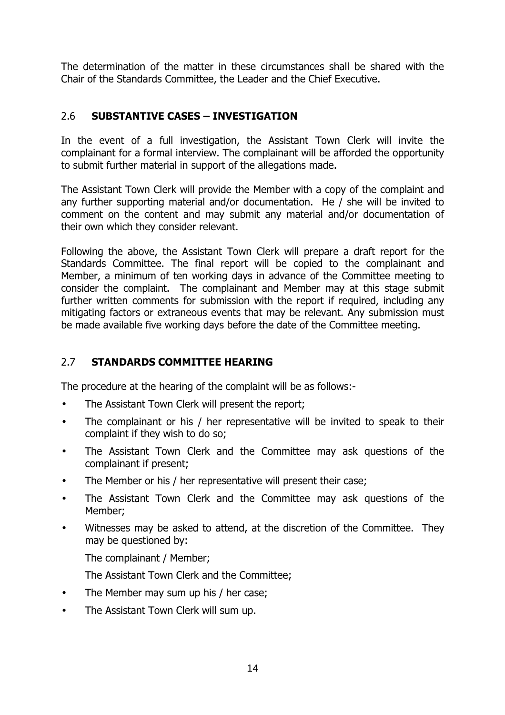The determination of the matter in these circumstances shall be shared with the Chair of the Standards Committee, the Leader and the Chief Executive.

#### 2.6 SUBSTANTIVE CASES – INVESTIGATION

In the event of a full investigation, the Assistant Town Clerk will invite the complainant for a formal interview. The complainant will be afforded the opportunity to submit further material in support of the allegations made.

The Assistant Town Clerk will provide the Member with a copy of the complaint and any further supporting material and/or documentation. He / she will be invited to comment on the content and may submit any material and/or documentation of their own which they consider relevant.

Following the above, the Assistant Town Clerk will prepare a draft report for the Standards Committee. The final report will be copied to the complainant and Member, a minimum of ten working days in advance of the Committee meeting to consider the complaint. The complainant and Member may at this stage submit further written comments for submission with the report if required, including any mitigating factors or extraneous events that may be relevant. Any submission must be made available five working days before the date of the Committee meeting.

#### 2.7 STANDARDS COMMITTEE HEARING

The procedure at the hearing of the complaint will be as follows:-

- The Assistant Town Clerk will present the report;
- The complainant or his / her representative will be invited to speak to their complaint if they wish to do so;
- The Assistant Town Clerk and the Committee may ask questions of the complainant if present;
- The Member or his / her representative will present their case;
- The Assistant Town Clerk and the Committee may ask questions of the Member;
- Witnesses may be asked to attend, at the discretion of the Committee. They may be questioned by:

The complainant / Member;

The Assistant Town Clerk and the Committee;

- The Member may sum up his / her case;
- The Assistant Town Clerk will sum up.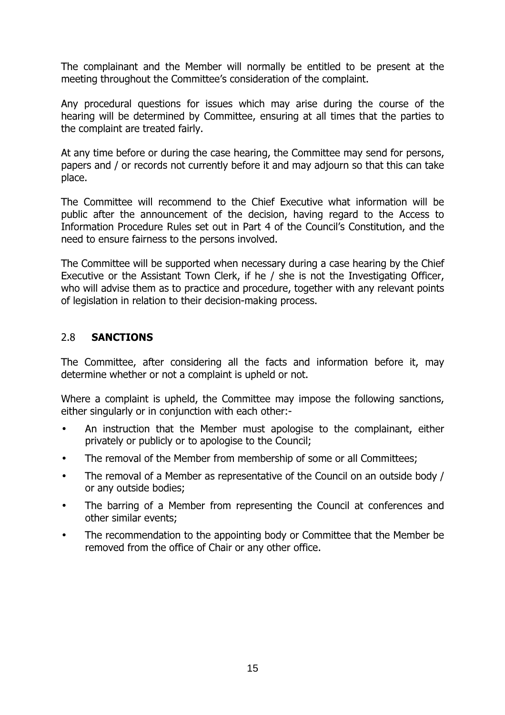The complainant and the Member will normally be entitled to be present at the meeting throughout the Committee's consideration of the complaint.

Any procedural questions for issues which may arise during the course of the hearing will be determined by Committee, ensuring at all times that the parties to the complaint are treated fairly.

At any time before or during the case hearing, the Committee may send for persons, papers and / or records not currently before it and may adjourn so that this can take place.

The Committee will recommend to the Chief Executive what information will be public after the announcement of the decision, having regard to the Access to Information Procedure Rules set out in Part 4 of the Council's Constitution, and the need to ensure fairness to the persons involved.

The Committee will be supported when necessary during a case hearing by the Chief Executive or the Assistant Town Clerk, if he / she is not the Investigating Officer, who will advise them as to practice and procedure, together with any relevant points of legislation in relation to their decision-making process.

#### 2.8 SANCTIONS

The Committee, after considering all the facts and information before it, may determine whether or not a complaint is upheld or not.

Where a complaint is upheld, the Committee may impose the following sanctions, either singularly or in conjunction with each other:-

- An instruction that the Member must apologise to the complainant, either privately or publicly or to apologise to the Council;
- The removal of the Member from membership of some or all Committees;
- The removal of a Member as representative of the Council on an outside body / or any outside bodies;
- The barring of a Member from representing the Council at conferences and other similar events;
- The recommendation to the appointing body or Committee that the Member be removed from the office of Chair or any other office.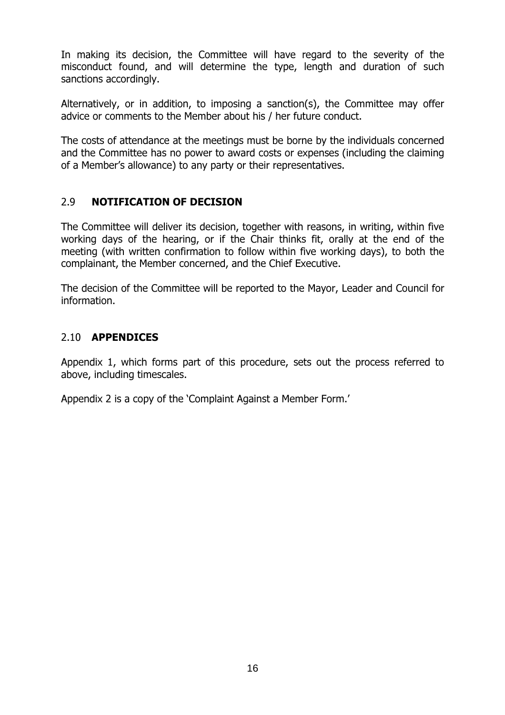In making its decision, the Committee will have regard to the severity of the misconduct found, and will determine the type, length and duration of such sanctions accordingly.

Alternatively, or in addition, to imposing a sanction(s), the Committee may offer advice or comments to the Member about his / her future conduct.

The costs of attendance at the meetings must be borne by the individuals concerned and the Committee has no power to award costs or expenses (including the claiming of a Member's allowance) to any party or their representatives.

#### 2.9 NOTIFICATION OF DECISION

The Committee will deliver its decision, together with reasons, in writing, within five working days of the hearing, or if the Chair thinks fit, orally at the end of the meeting (with written confirmation to follow within five working days), to both the complainant, the Member concerned, and the Chief Executive.

The decision of the Committee will be reported to the Mayor, Leader and Council for information.

#### 2.10 APPENDICES

Appendix 1, which forms part of this procedure, sets out the process referred to above, including timescales.

Appendix 2 is a copy of the 'Complaint Against a Member Form.'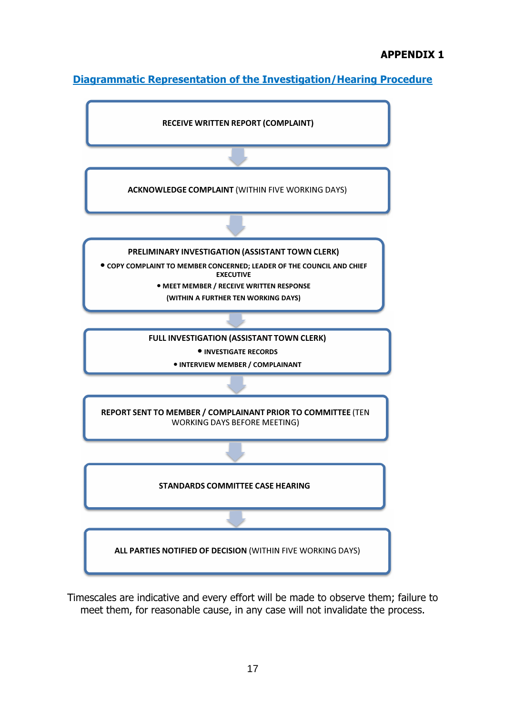#### APPENDIX 1

Diagrammatic Representation of the Investigation/Hearing Procedure



Timescales are indicative and every effort will be made to observe them; failure to meet them, for reasonable cause, in any case will not invalidate the process.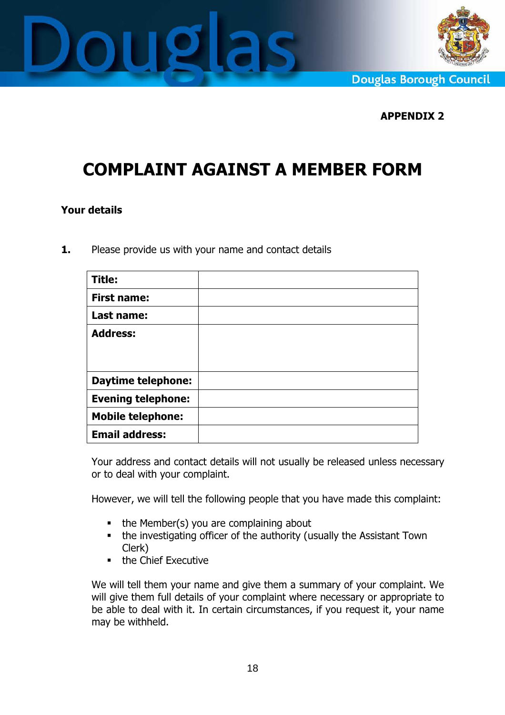



**Douglas Borough Council** 

#### APPENDIX 2

# COMPLAINT AGAINST A MEMBER FORM

#### Your details

1. Please provide us with your name and contact details

| <b>Title:</b>             |  |
|---------------------------|--|
| <b>First name:</b>        |  |
| Last name:                |  |
| <b>Address:</b>           |  |
|                           |  |
|                           |  |
| <b>Daytime telephone:</b> |  |
| <b>Evening telephone:</b> |  |
| <b>Mobile telephone:</b>  |  |
| <b>Email address:</b>     |  |

Your address and contact details will not usually be released unless necessary or to deal with your complaint.

However, we will tell the following people that you have made this complaint:

- $\blacksquare$  the Member(s) you are complaining about
- the investigating officer of the authority (usually the Assistant Town Clerk)
- **the Chief Executive**

We will tell them your name and give them a summary of your complaint. We will give them full details of your complaint where necessary or appropriate to be able to deal with it. In certain circumstances, if you request it, your name may be withheld.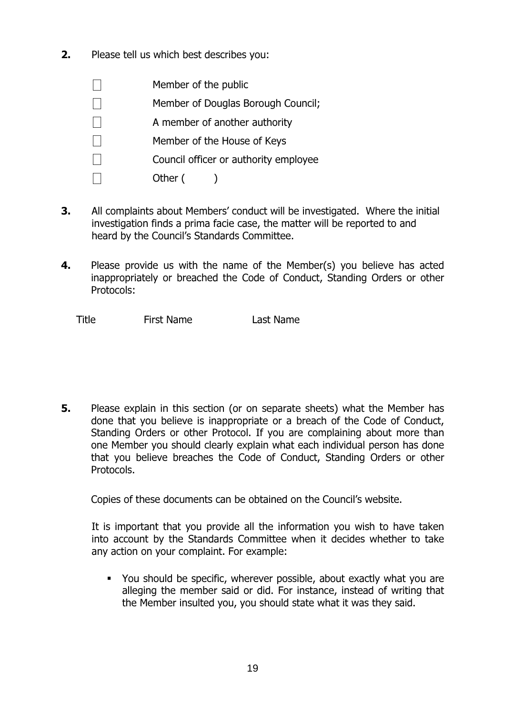- 2. Please tell us which best describes you:
	- $\Box$  Member of the public
	- $\Box$  Member of Douglas Borough Council:
	- A member of another authority
	- $\Box$  Member of the House of Keys
	- $\Box$  Council officer or authority employee
		- Other ()
- 3. All complaints about Members' conduct will be investigated. Where the initial investigation finds a prima facie case, the matter will be reported to and heard by the Council's Standards Committee.
- **4.** Please provide us with the name of the Member(s) you believe has acted inappropriately or breached the Code of Conduct, Standing Orders or other Protocols:

Title First Name Last Name

5. Please explain in this section (or on separate sheets) what the Member has done that you believe is inappropriate or a breach of the Code of Conduct, Standing Orders or other Protocol. If you are complaining about more than one Member you should clearly explain what each individual person has done that you believe breaches the Code of Conduct, Standing Orders or other Protocols.

Copies of these documents can be obtained on the Council's website.

It is important that you provide all the information you wish to have taken into account by the Standards Committee when it decides whether to take any action on your complaint. For example:

 You should be specific, wherever possible, about exactly what you are alleging the member said or did. For instance, instead of writing that the Member insulted you, you should state what it was they said.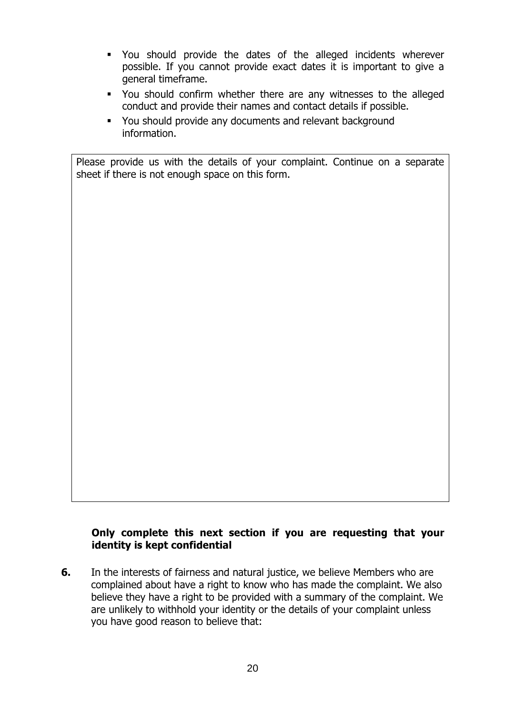- You should provide the dates of the alleged incidents wherever possible. If you cannot provide exact dates it is important to give a general timeframe.
- You should confirm whether there are any witnesses to the alleged conduct and provide their names and contact details if possible.
- You should provide any documents and relevant background information.

Please provide us with the details of your complaint. Continue on a separate sheet if there is not enough space on this form.

#### Only complete this next section if you are requesting that your identity is kept confidential

6. In the interests of fairness and natural justice, we believe Members who are complained about have a right to know who has made the complaint. We also believe they have a right to be provided with a summary of the complaint. We are unlikely to withhold your identity or the details of your complaint unless you have good reason to believe that: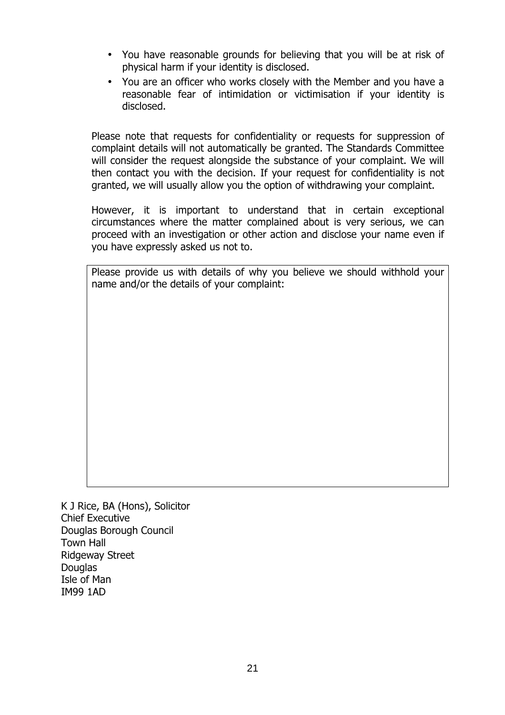- You have reasonable grounds for believing that you will be at risk of physical harm if your identity is disclosed.
- You are an officer who works closely with the Member and you have a reasonable fear of intimidation or victimisation if your identity is disclosed.

Please note that requests for confidentiality or requests for suppression of complaint details will not automatically be granted. The Standards Committee will consider the request alongside the substance of your complaint. We will then contact you with the decision. If your request for confidentiality is not granted, we will usually allow you the option of withdrawing your complaint.

However, it is important to understand that in certain exceptional circumstances where the matter complained about is very serious, we can proceed with an investigation or other action and disclose your name even if you have expressly asked us not to.

Please provide us with details of why you believe we should withhold your name and/or the details of your complaint:

K J Rice, BA (Hons), Solicitor Chief Executive Douglas Borough Council Town Hall Ridgeway Street **Douglas** Isle of Man IM99 1AD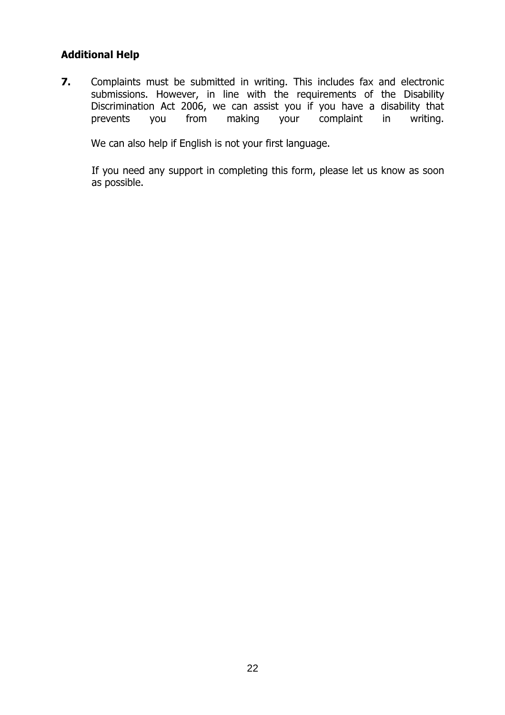#### Additional Help

7. Complaints must be submitted in writing. This includes fax and electronic submissions. However, in line with the requirements of the Disability Discrimination Act 2006, we can assist you if you have a disability that prevents you from making your complaint in writing. prevents you from making your complaint in writing.

We can also help if English is not your first language.

If you need any support in completing this form, please let us know as soon as possible.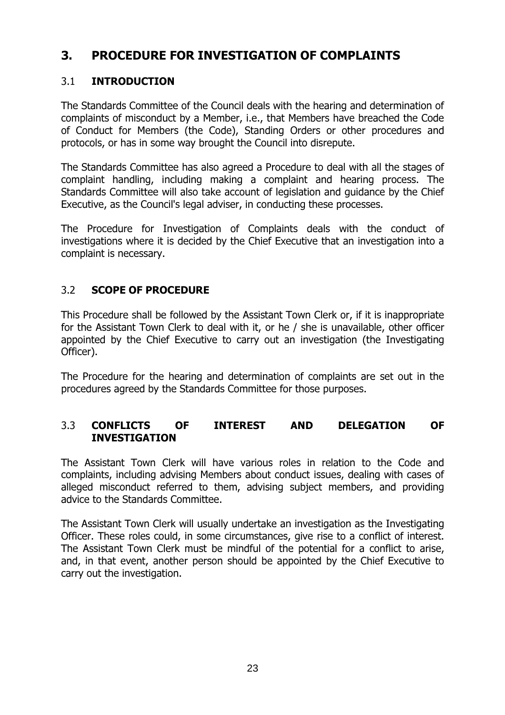### 3. PROCEDURE FOR INVESTIGATION OF COMPLAINTS

#### 3.1 INTRODUCTION

The Standards Committee of the Council deals with the hearing and determination of complaints of misconduct by a Member, i.e., that Members have breached the Code of Conduct for Members (the Code), Standing Orders or other procedures and protocols, or has in some way brought the Council into disrepute.

The Standards Committee has also agreed a Procedure to deal with all the stages of complaint handling, including making a complaint and hearing process. The Standards Committee will also take account of legislation and guidance by the Chief Executive, as the Council's legal adviser, in conducting these processes.

The Procedure for Investigation of Complaints deals with the conduct of investigations where it is decided by the Chief Executive that an investigation into a complaint is necessary.

#### 3.2 SCOPE OF PROCEDURE

This Procedure shall be followed by the Assistant Town Clerk or, if it is inappropriate for the Assistant Town Clerk to deal with it, or he / she is unavailable, other officer appointed by the Chief Executive to carry out an investigation (the Investigating Officer).

The Procedure for the hearing and determination of complaints are set out in the procedures agreed by the Standards Committee for those purposes.

#### 3.3 CONFLICTS OF INTEREST AND DELEGATION OF INVESTIGATION

The Assistant Town Clerk will have various roles in relation to the Code and complaints, including advising Members about conduct issues, dealing with cases of alleged misconduct referred to them, advising subject members, and providing advice to the Standards Committee.

The Assistant Town Clerk will usually undertake an investigation as the Investigating Officer. These roles could, in some circumstances, give rise to a conflict of interest. The Assistant Town Clerk must be mindful of the potential for a conflict to arise, and, in that event, another person should be appointed by the Chief Executive to carry out the investigation.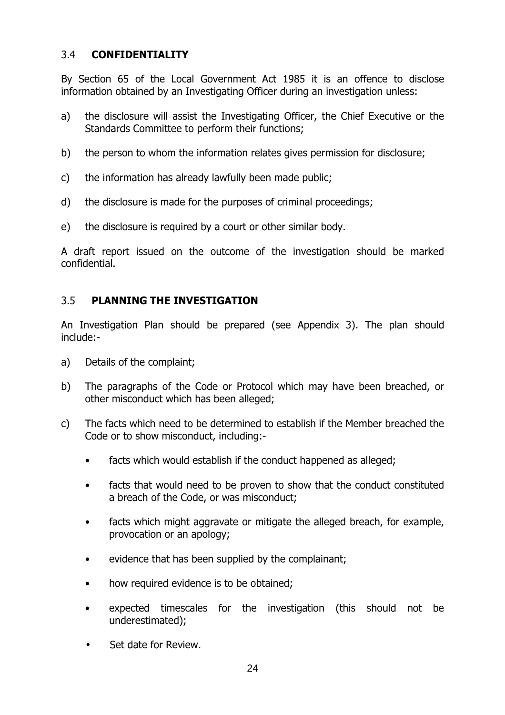#### 3.4 CONFIDENTIALITY

By Section 65 of the Local Government Act 1985 it is an offence to disclose information obtained by an Investigating Officer during an investigation unless:

- a) the disclosure will assist the Investigating Officer, the Chief Executive or the Standards Committee to perform their functions;
- b) the person to whom the information relates gives permission for disclosure;
- c) the information has already lawfully been made public;
- d) the disclosure is made for the purposes of criminal proceedings;
- e) the disclosure is required by a court or other similar body.

A draft report issued on the outcome of the investigation should be marked confidential.

#### 3.5 PLANNING THE INVESTIGATION

An Investigation Plan should be prepared (see Appendix 3). The plan should include:-

- a) Details of the complaint;
- b) The paragraphs of the Code or Protocol which may have been breached, or other misconduct which has been alleged;
- c) The facts which need to be determined to establish if the Member breached the Code or to show misconduct, including:
	- facts which would establish if the conduct happened as alleged;
	- facts that would need to be proven to show that the conduct constituted a breach of the Code, or was misconduct;
	- facts which might aggravate or mitigate the alleged breach, for example, provocation or an apology;
	- evidence that has been supplied by the complainant;
	- how required evidence is to be obtained;
	- expected timescales for the investigation (this should not be underestimated);
	- Set date for Review.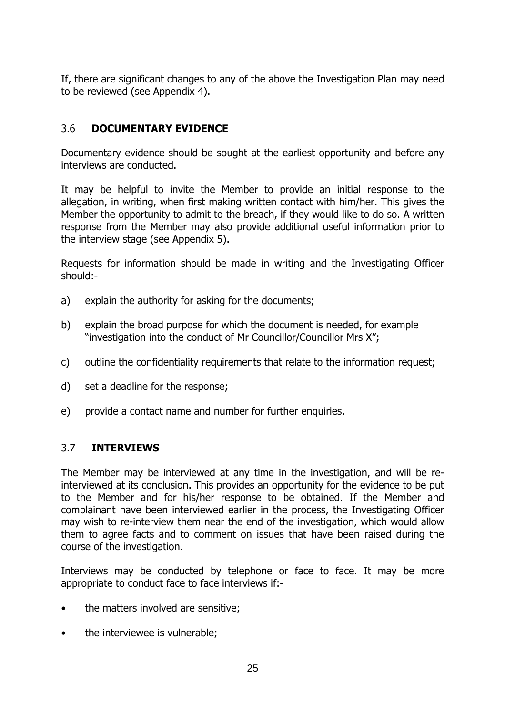If, there are significant changes to any of the above the Investigation Plan may need to be reviewed (see Appendix 4).

#### 3.6 DOCUMENTARY EVIDENCE

Documentary evidence should be sought at the earliest opportunity and before any interviews are conducted.

It may be helpful to invite the Member to provide an initial response to the allegation, in writing, when first making written contact with him/her. This gives the Member the opportunity to admit to the breach, if they would like to do so. A written response from the Member may also provide additional useful information prior to the interview stage (see Appendix 5).

Requests for information should be made in writing and the Investigating Officer should:-

- a) explain the authority for asking for the documents;
- b) explain the broad purpose for which the document is needed, for example "investigation into the conduct of Mr Councillor/Councillor Mrs X";
- c) outline the confidentiality requirements that relate to the information request;
- d) set a deadline for the response;
- e) provide a contact name and number for further enquiries.

#### 3.7 INTERVIEWS

The Member may be interviewed at any time in the investigation, and will be reinterviewed at its conclusion. This provides an opportunity for the evidence to be put to the Member and for his/her response to be obtained. If the Member and complainant have been interviewed earlier in the process, the Investigating Officer may wish to re-interview them near the end of the investigation, which would allow them to agree facts and to comment on issues that have been raised during the course of the investigation.

Interviews may be conducted by telephone or face to face. It may be more appropriate to conduct face to face interviews if:-

- the matters involved are sensitive;
- the interviewee is vulnerable;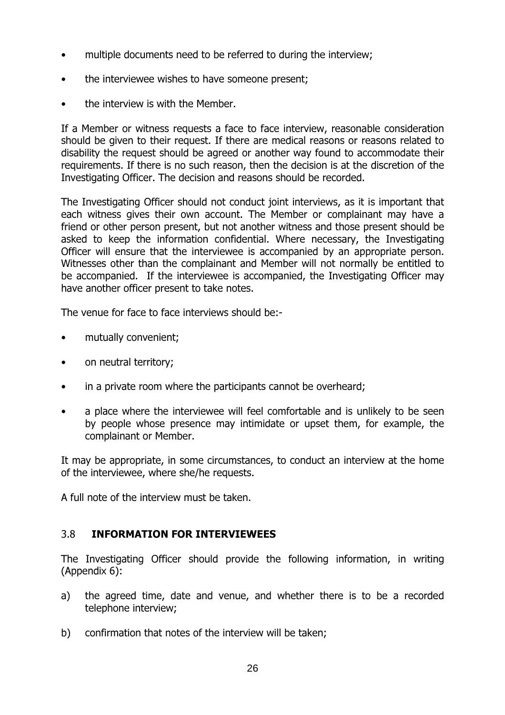- multiple documents need to be referred to during the interview;
- the interviewee wishes to have someone present;
- the interview is with the Member.

If a Member or witness requests a face to face interview, reasonable consideration should be given to their request. If there are medical reasons or reasons related to disability the request should be agreed or another way found to accommodate their requirements. If there is no such reason, then the decision is at the discretion of the Investigating Officer. The decision and reasons should be recorded.

The Investigating Officer should not conduct joint interviews, as it is important that each witness gives their own account. The Member or complainant may have a friend or other person present, but not another witness and those present should be asked to keep the information confidential. Where necessary, the Investigating Officer will ensure that the interviewee is accompanied by an appropriate person. Witnesses other than the complainant and Member will not normally be entitled to be accompanied. If the interviewee is accompanied, the Investigating Officer may have another officer present to take notes.

The venue for face to face interviews should be:-

- mutually convenient;
- on neutral territory;
- in a private room where the participants cannot be overheard;
- a place where the interviewee will feel comfortable and is unlikely to be seen by people whose presence may intimidate or upset them, for example, the complainant or Member.

It may be appropriate, in some circumstances, to conduct an interview at the home of the interviewee, where she/he requests.

A full note of the interview must be taken.

#### 3.8 INFORMATION FOR INTERVIEWEES

The Investigating Officer should provide the following information, in writing (Appendix 6):

- a) the agreed time, date and venue, and whether there is to be a recorded telephone interview;
- b) confirmation that notes of the interview will be taken;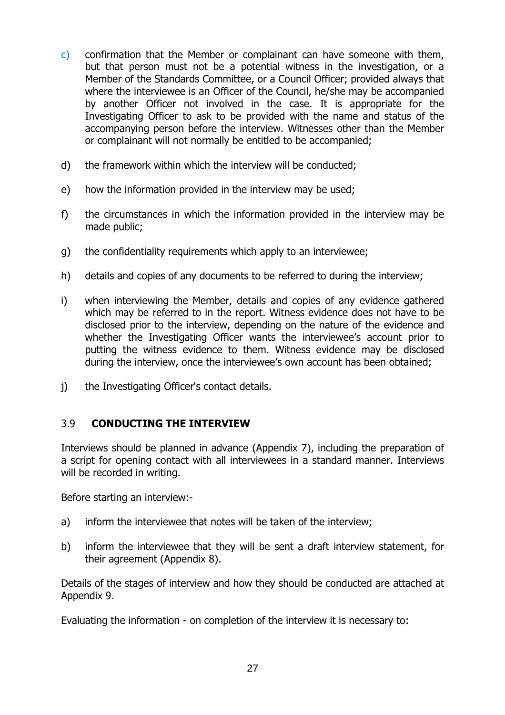- c) confirmation that the Member or complainant can have someone with them, but that person must not be a potential witness in the investigation, or a Member of the Standards Committee, or a Council Officer; provided always that where the interviewee is an Officer of the Council, he/she may be accompanied by another Officer not involved in the case. It is appropriate for the Investigating Officer to ask to be provided with the name and status of the accompanying person before the interview. Witnesses other than the Member or complainant will not normally be entitled to be accompanied;
- d) the framework within which the interview will be conducted;
- e) how the information provided in the interview may be used;
- f) the circumstances in which the information provided in the interview may be made public;
- g) the confidentiality requirements which apply to an interviewee;
- h) details and copies of any documents to be referred to during the interview;
- i) when interviewing the Member, details and copies of any evidence gathered which may be referred to in the report. Witness evidence does not have to be disclosed prior to the interview, depending on the nature of the evidence and whether the Investigating Officer wants the interviewee's account prior to putting the witness evidence to them. Witness evidence may be disclosed during the interview, once the interviewee's own account has been obtained;
- j) the Investigating Officer's contact details.

#### 3.9 CONDUCTING THE INTERVIEW

Interviews should be planned in advance (Appendix 7), including the preparation of a script for opening contact with all interviewees in a standard manner. Interviews will be recorded in writing.

Before starting an interview:-

- a) inform the interviewee that notes will be taken of the interview;
- b) inform the interviewee that they will be sent a draft interview statement, for their agreement (Appendix 8).

Details of the stages of interview and how they should be conducted are attached at Appendix 9.

Evaluating the information - on completion of the interview it is necessary to: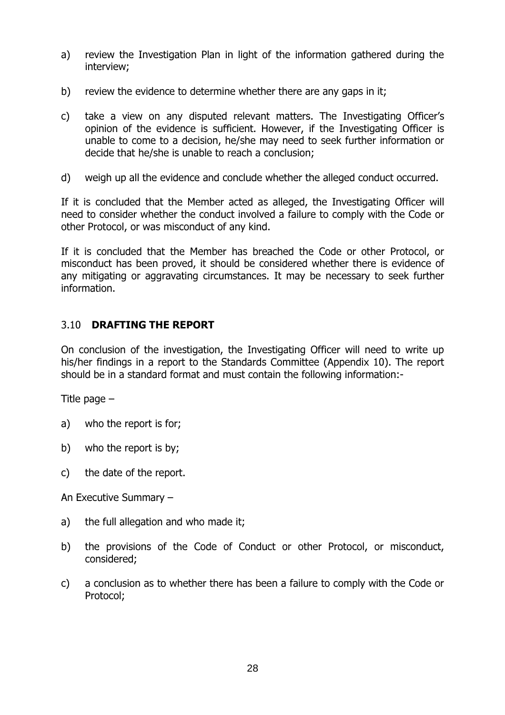- a) review the Investigation Plan in light of the information gathered during the interview;
- b) review the evidence to determine whether there are any gaps in it;
- c) take a view on any disputed relevant matters. The Investigating Officer's opinion of the evidence is sufficient. However, if the Investigating Officer is unable to come to a decision, he/she may need to seek further information or decide that he/she is unable to reach a conclusion;
- d) weigh up all the evidence and conclude whether the alleged conduct occurred.

If it is concluded that the Member acted as alleged, the Investigating Officer will need to consider whether the conduct involved a failure to comply with the Code or other Protocol, or was misconduct of any kind.

If it is concluded that the Member has breached the Code or other Protocol, or misconduct has been proved, it should be considered whether there is evidence of any mitigating or aggravating circumstances. It may be necessary to seek further information.

#### 3.10 DRAFTING THE REPORT

On conclusion of the investigation, the Investigating Officer will need to write up his/her findings in a report to the Standards Committee (Appendix 10). The report should be in a standard format and must contain the following information:-

Title page –

- a) who the report is for;
- b) who the report is by;
- c) the date of the report.

An Executive Summary –

- a) the full allegation and who made it;
- b) the provisions of the Code of Conduct or other Protocol, or misconduct, considered;
- c) a conclusion as to whether there has been a failure to comply with the Code or Protocol;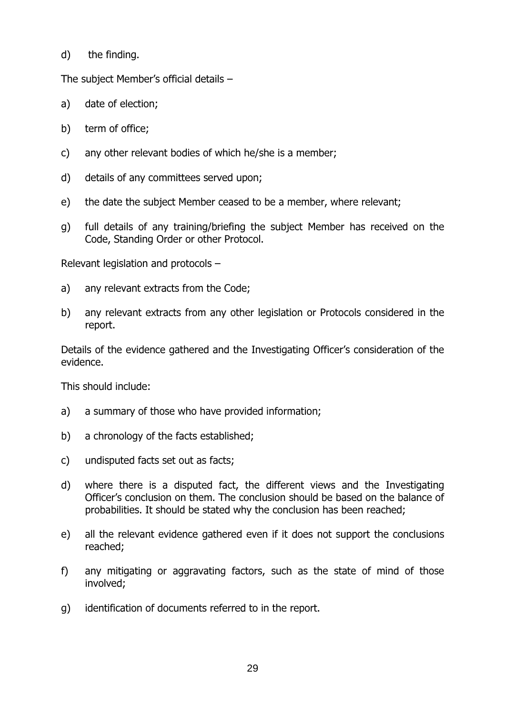d) the finding.

The subject Member's official details –

- a) date of election;
- b) term of office;
- c) any other relevant bodies of which he/she is a member;
- d) details of any committees served upon;
- e) the date the subject Member ceased to be a member, where relevant;
- g) full details of any training/briefing the subject Member has received on the Code, Standing Order or other Protocol.

Relevant legislation and protocols –

- a) any relevant extracts from the Code;
- b) any relevant extracts from any other legislation or Protocols considered in the report.

Details of the evidence gathered and the Investigating Officer's consideration of the evidence.

This should include:

- a) a summary of those who have provided information;
- b) a chronology of the facts established;
- c) undisputed facts set out as facts;
- d) where there is a disputed fact, the different views and the Investigating Officer's conclusion on them. The conclusion should be based on the balance of probabilities. It should be stated why the conclusion has been reached;
- e) all the relevant evidence gathered even if it does not support the conclusions reached;
- f) any mitigating or aggravating factors, such as the state of mind of those involved;
- g) identification of documents referred to in the report.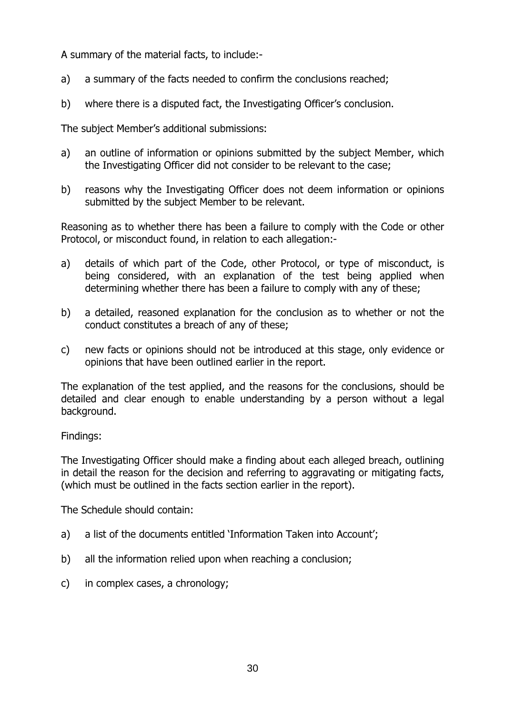A summary of the material facts, to include:-

- a) a summary of the facts needed to confirm the conclusions reached;
- b) where there is a disputed fact, the Investigating Officer's conclusion.

The subject Member's additional submissions:

- a) an outline of information or opinions submitted by the subject Member, which the Investigating Officer did not consider to be relevant to the case;
- b) reasons why the Investigating Officer does not deem information or opinions submitted by the subject Member to be relevant.

Reasoning as to whether there has been a failure to comply with the Code or other Protocol, or misconduct found, in relation to each allegation:-

- a) details of which part of the Code, other Protocol, or type of misconduct, is being considered, with an explanation of the test being applied when determining whether there has been a failure to comply with any of these;
- b) a detailed, reasoned explanation for the conclusion as to whether or not the conduct constitutes a breach of any of these;
- c) new facts or opinions should not be introduced at this stage, only evidence or opinions that have been outlined earlier in the report.

The explanation of the test applied, and the reasons for the conclusions, should be detailed and clear enough to enable understanding by a person without a legal background.

#### Findings:

The Investigating Officer should make a finding about each alleged breach, outlining in detail the reason for the decision and referring to aggravating or mitigating facts, (which must be outlined in the facts section earlier in the report).

The Schedule should contain:

- a) a list of the documents entitled 'Information Taken into Account';
- b) all the information relied upon when reaching a conclusion;
- c) in complex cases, a chronology;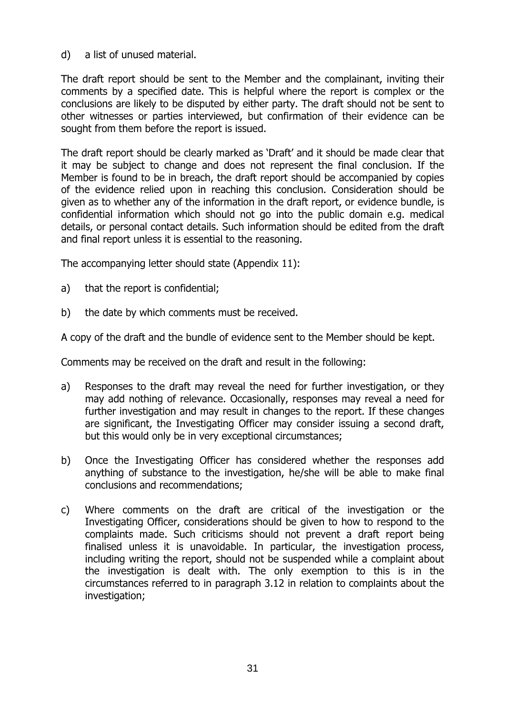d) a list of unused material.

The draft report should be sent to the Member and the complainant, inviting their comments by a specified date. This is helpful where the report is complex or the conclusions are likely to be disputed by either party. The draft should not be sent to other witnesses or parties interviewed, but confirmation of their evidence can be sought from them before the report is issued.

The draft report should be clearly marked as 'Draft' and it should be made clear that it may be subject to change and does not represent the final conclusion. If the Member is found to be in breach, the draft report should be accompanied by copies of the evidence relied upon in reaching this conclusion. Consideration should be given as to whether any of the information in the draft report, or evidence bundle, is confidential information which should not go into the public domain e.g. medical details, or personal contact details. Such information should be edited from the draft and final report unless it is essential to the reasoning.

The accompanying letter should state (Appendix 11):

- a) that the report is confidential;
- b) the date by which comments must be received.

A copy of the draft and the bundle of evidence sent to the Member should be kept.

Comments may be received on the draft and result in the following:

- a) Responses to the draft may reveal the need for further investigation, or they may add nothing of relevance. Occasionally, responses may reveal a need for further investigation and may result in changes to the report. If these changes are significant, the Investigating Officer may consider issuing a second draft, but this would only be in very exceptional circumstances;
- b) Once the Investigating Officer has considered whether the responses add anything of substance to the investigation, he/she will be able to make final conclusions and recommendations;
- c) Where comments on the draft are critical of the investigation or the Investigating Officer, considerations should be given to how to respond to the complaints made. Such criticisms should not prevent a draft report being finalised unless it is unavoidable. In particular, the investigation process, including writing the report, should not be suspended while a complaint about the investigation is dealt with. The only exemption to this is in the circumstances referred to in paragraph 3.12 in relation to complaints about the investigation;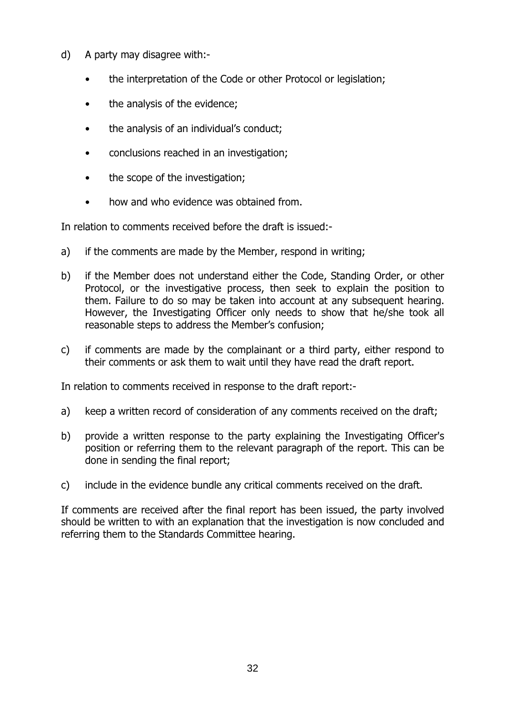- d) A party may disagree with:-
	- the interpretation of the Code or other Protocol or legislation;
	- the analysis of the evidence;
	- the analysis of an individual's conduct;
	- conclusions reached in an investigation;
	- the scope of the investigation;
	- how and who evidence was obtained from.

In relation to comments received before the draft is issued:-

- a) if the comments are made by the Member, respond in writing;
- b) if the Member does not understand either the Code, Standing Order, or other Protocol, or the investigative process, then seek to explain the position to them. Failure to do so may be taken into account at any subsequent hearing. However, the Investigating Officer only needs to show that he/she took all reasonable steps to address the Member's confusion;
- c) if comments are made by the complainant or a third party, either respond to their comments or ask them to wait until they have read the draft report.

In relation to comments received in response to the draft report:-

- a) keep a written record of consideration of any comments received on the draft;
- b) provide a written response to the party explaining the Investigating Officer's position or referring them to the relevant paragraph of the report. This can be done in sending the final report;
- c) include in the evidence bundle any critical comments received on the draft.

If comments are received after the final report has been issued, the party involved should be written to with an explanation that the investigation is now concluded and referring them to the Standards Committee hearing.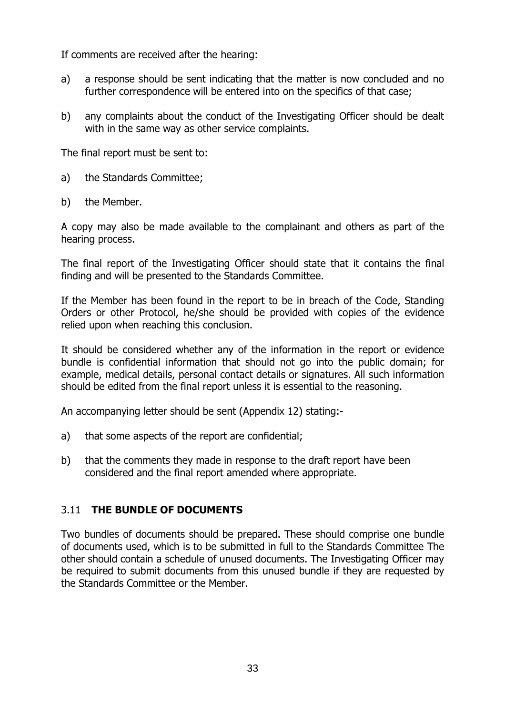If comments are received after the hearing:

- a) a response should be sent indicating that the matter is now concluded and no further correspondence will be entered into on the specifics of that case;
- b) any complaints about the conduct of the Investigating Officer should be dealt with in the same way as other service complaints.

The final report must be sent to:

- a) the Standards Committee;
- b) the Member.

A copy may also be made available to the complainant and others as part of the hearing process.

The final report of the Investigating Officer should state that it contains the final finding and will be presented to the Standards Committee.

If the Member has been found in the report to be in breach of the Code, Standing Orders or other Protocol, he/she should be provided with copies of the evidence relied upon when reaching this conclusion.

It should be considered whether any of the information in the report or evidence bundle is confidential information that should not go into the public domain; for example, medical details, personal contact details or signatures. All such information should be edited from the final report unless it is essential to the reasoning.

An accompanying letter should be sent (Appendix 12) stating:-

- a) that some aspects of the report are confidential;
- b) that the comments they made in response to the draft report have been considered and the final report amended where appropriate.

#### 3.11 THE BUNDLE OF DOCUMENTS

Two bundles of documents should be prepared. These should comprise one bundle of documents used, which is to be submitted in full to the Standards Committee The other should contain a schedule of unused documents. The Investigating Officer may be required to submit documents from this unused bundle if they are requested by the Standards Committee or the Member.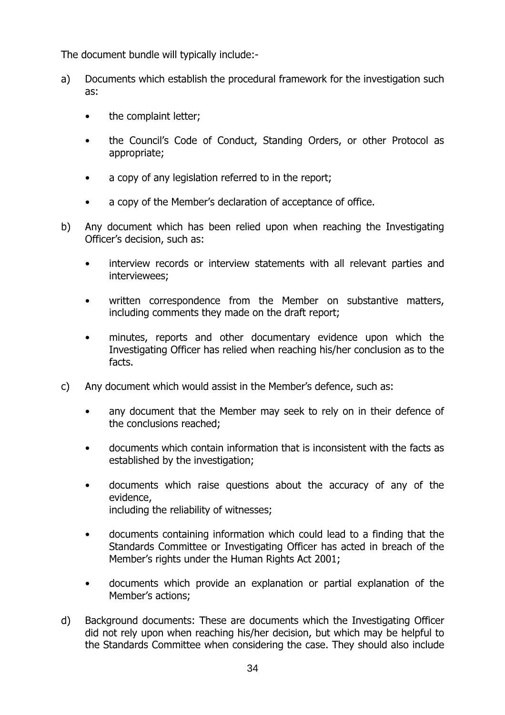The document bundle will typically include:-

- a) Documents which establish the procedural framework for the investigation such as:
	- the complaint letter;
	- the Council's Code of Conduct, Standing Orders, or other Protocol as appropriate;
	- a copy of any legislation referred to in the report;
	- a copy of the Member's declaration of acceptance of office.
- b) Any document which has been relied upon when reaching the Investigating Officer's decision, such as:
	- interview records or interview statements with all relevant parties and interviewees;
	- written correspondence from the Member on substantive matters, including comments they made on the draft report;
	- minutes, reports and other documentary evidence upon which the Investigating Officer has relied when reaching his/her conclusion as to the facts.
- c) Any document which would assist in the Member's defence, such as:
	- any document that the Member may seek to rely on in their defence of the conclusions reached;
	- documents which contain information that is inconsistent with the facts as established by the investigation;
	- documents which raise questions about the accuracy of any of the evidence, including the reliability of witnesses;
	- documents containing information which could lead to a finding that the Standards Committee or Investigating Officer has acted in breach of the Member's rights under the Human Rights Act 2001;
	- documents which provide an explanation or partial explanation of the Member's actions;
- d) Background documents: These are documents which the Investigating Officer did not rely upon when reaching his/her decision, but which may be helpful to the Standards Committee when considering the case. They should also include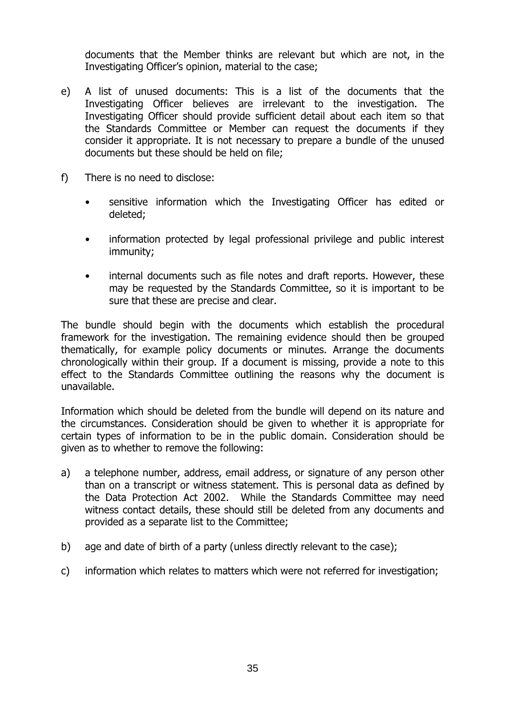documents that the Member thinks are relevant but which are not, in the Investigating Officer's opinion, material to the case;

- e) A list of unused documents: This is a list of the documents that the Investigating Officer believes are irrelevant to the investigation. The Investigating Officer should provide sufficient detail about each item so that the Standards Committee or Member can request the documents if they consider it appropriate. It is not necessary to prepare a bundle of the unused documents but these should be held on file;
- f) There is no need to disclose:
	- sensitive information which the Investigating Officer has edited or deleted;
	- information protected by legal professional privilege and public interest immunity;
	- internal documents such as file notes and draft reports. However, these may be requested by the Standards Committee, so it is important to be sure that these are precise and clear.

The bundle should begin with the documents which establish the procedural framework for the investigation. The remaining evidence should then be grouped thematically, for example policy documents or minutes. Arrange the documents chronologically within their group. If a document is missing, provide a note to this effect to the Standards Committee outlining the reasons why the document is unavailable.

Information which should be deleted from the bundle will depend on its nature and the circumstances. Consideration should be given to whether it is appropriate for certain types of information to be in the public domain. Consideration should be given as to whether to remove the following:

- a) a telephone number, address, email address, or signature of any person other than on a transcript or witness statement. This is personal data as defined by the Data Protection Act 2002. While the Standards Committee may need witness contact details, these should still be deleted from any documents and provided as a separate list to the Committee;
- b) age and date of birth of a party (unless directly relevant to the case);
- c) information which relates to matters which were not referred for investigation;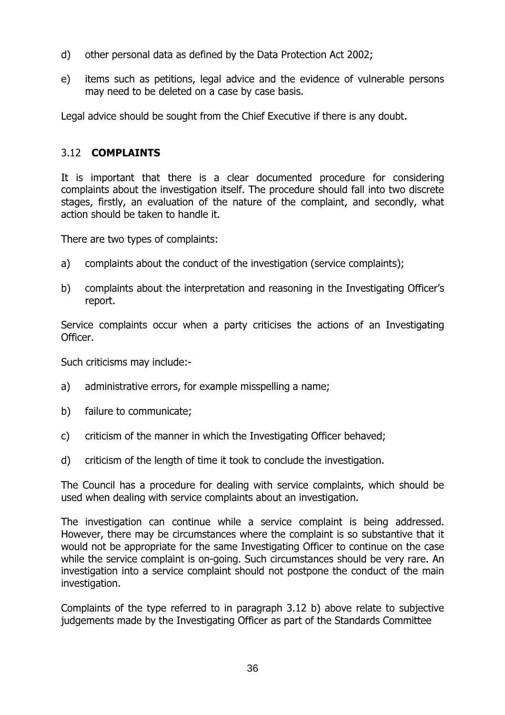- d) other personal data as defined by the Data Protection Act 2002;
- e) items such as petitions, legal advice and the evidence of vulnerable persons may need to be deleted on a case by case basis.

Legal advice should be sought from the Chief Executive if there is any doubt.

#### 3.12 COMPLAINTS

It is important that there is a clear documented procedure for considering complaints about the investigation itself. The procedure should fall into two discrete stages, firstly, an evaluation of the nature of the complaint, and secondly, what action should be taken to handle it.

There are two types of complaints:

- a) complaints about the conduct of the investigation (service complaints);
- b) complaints about the interpretation and reasoning in the Investigating Officer's report.

Service complaints occur when a party criticises the actions of an Investigating Officer.

Such criticisms may include:-

- a) administrative errors, for example misspelling a name;
- b) failure to communicate;
- c) criticism of the manner in which the Investigating Officer behaved;
- d) criticism of the length of time it took to conclude the investigation.

The Council has a procedure for dealing with service complaints, which should be used when dealing with service complaints about an investigation.

The investigation can continue while a service complaint is being addressed. However, there may be circumstances where the complaint is so substantive that it would not be appropriate for the same Investigating Officer to continue on the case while the service complaint is on-going. Such circumstances should be very rare. An investigation into a service complaint should not postpone the conduct of the main investigation.

Complaints of the type referred to in paragraph 3.12 b) above relate to subjective judgements made by the Investigating Officer as part of the Standards Committee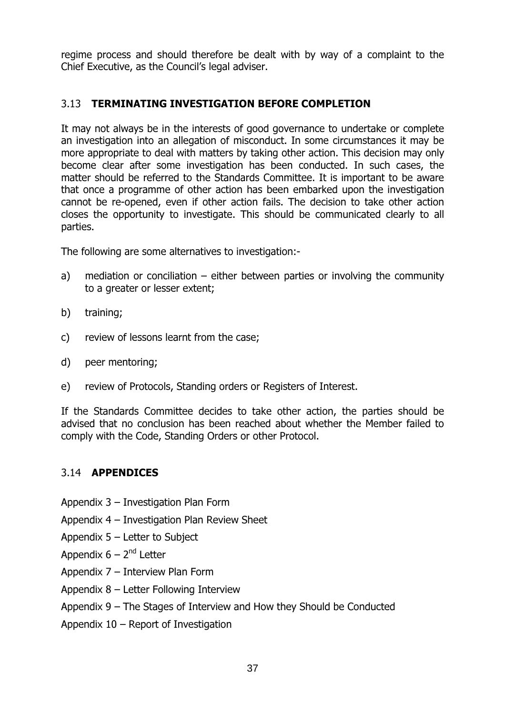regime process and should therefore be dealt with by way of a complaint to the Chief Executive, as the Council's legal adviser.

#### 3.13 TERMINATING INVESTIGATION BEFORE COMPLETION

It may not always be in the interests of good governance to undertake or complete an investigation into an allegation of misconduct. In some circumstances it may be more appropriate to deal with matters by taking other action. This decision may only become clear after some investigation has been conducted. In such cases, the matter should be referred to the Standards Committee. It is important to be aware that once a programme of other action has been embarked upon the investigation cannot be re-opened, even if other action fails. The decision to take other action closes the opportunity to investigate. This should be communicated clearly to all parties.

The following are some alternatives to investigation:-

- a) mediation or conciliation either between parties or involving the community to a greater or lesser extent;
- b) training;
- c) review of lessons learnt from the case;
- d) peer mentoring;
- e) review of Protocols, Standing orders or Registers of Interest.

If the Standards Committee decides to take other action, the parties should be advised that no conclusion has been reached about whether the Member failed to comply with the Code, Standing Orders or other Protocol.

#### 3.14 APPENDICES

- Appendix 3 Investigation Plan Form
- Appendix 4 Investigation Plan Review Sheet
- Appendix 5 Letter to Subject
- Appendix  $6 2^{nd}$  Letter
- Appendix 7 Interview Plan Form
- Appendix 8 Letter Following Interview
- Appendix 9 The Stages of Interview and How they Should be Conducted
- Appendix 10 Report of Investigation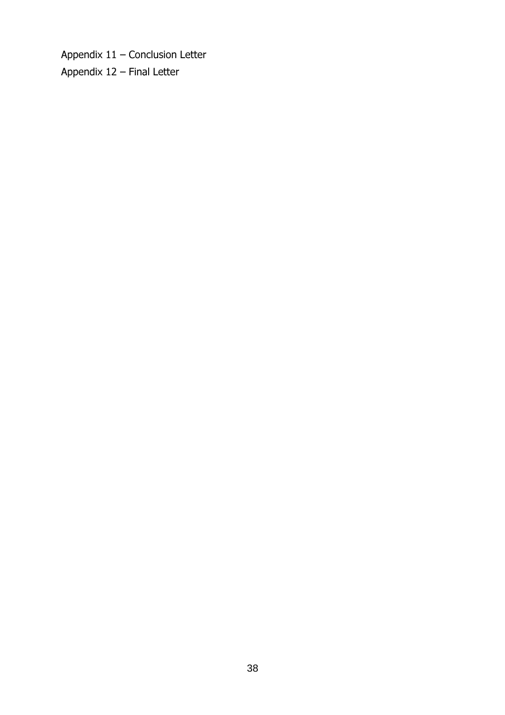Appendix 11 – Conclusion Letter Appendix 12 – Final Letter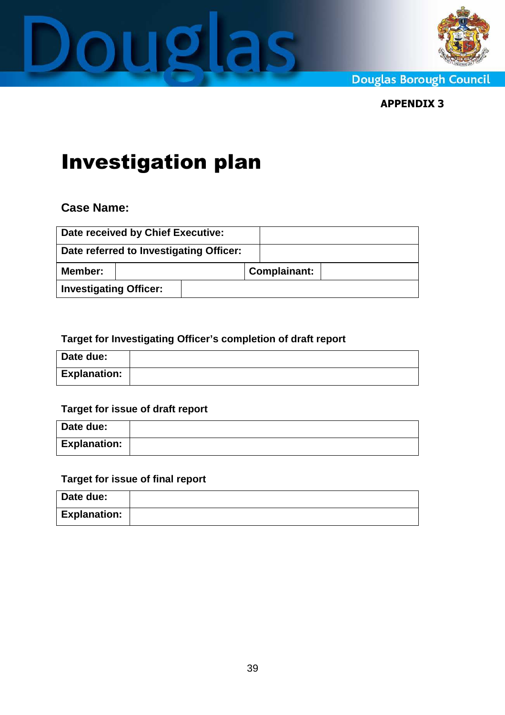



**Douglas Borough Council** 

APPENDIX 3

# Investigation plan

### **Case Name:**

|                               | Date received by Chief Executive:       |                     |  |
|-------------------------------|-----------------------------------------|---------------------|--|
|                               | Date referred to Investigating Officer: |                     |  |
| Member:                       |                                         | <b>Complainant:</b> |  |
| <b>Investigating Officer:</b> |                                         |                     |  |

#### **Target for Investigating Officer's completion of draft report**

| Date due:           |  |
|---------------------|--|
| <b>Explanation:</b> |  |

#### **Target for issue of draft report**

| Date due:           |  |
|---------------------|--|
| <b>Explanation:</b> |  |

#### **Target for issue of final report**

| Date due:           |  |
|---------------------|--|
| <b>Explanation:</b> |  |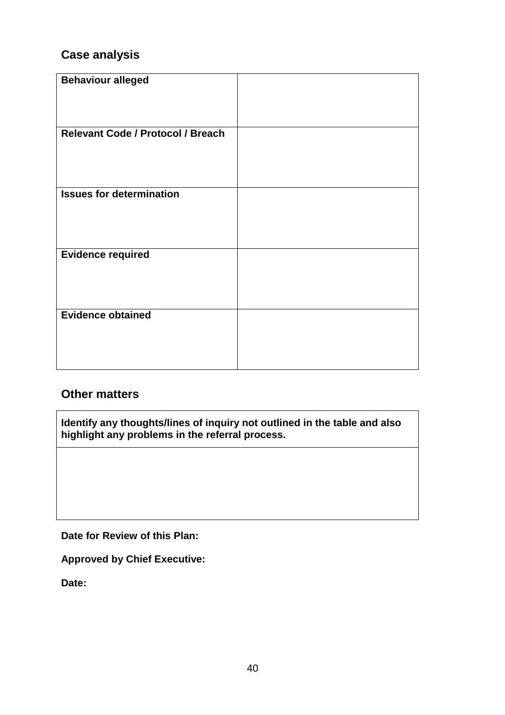## **Case analysis**

| <b>Behaviour alleged</b>          |  |
|-----------------------------------|--|
|                                   |  |
|                                   |  |
|                                   |  |
|                                   |  |
|                                   |  |
|                                   |  |
| Relevant Code / Protocol / Breach |  |
|                                   |  |
|                                   |  |
|                                   |  |
|                                   |  |
|                                   |  |
|                                   |  |
| <b>Issues for determination</b>   |  |
|                                   |  |
|                                   |  |
|                                   |  |
|                                   |  |
|                                   |  |
|                                   |  |
|                                   |  |
| <b>Evidence required</b>          |  |
|                                   |  |
|                                   |  |
|                                   |  |
|                                   |  |
|                                   |  |
|                                   |  |
| <b>Evidence obtained</b>          |  |
|                                   |  |
|                                   |  |
|                                   |  |
|                                   |  |
|                                   |  |
|                                   |  |
|                                   |  |

#### **Other matters**

**Identify any thoughts/lines of inquiry not outlined in the table and also highlight any problems in the referral process.** 

**Date for Review of this Plan:** 

**Approved by Chief Executive:**

**Date:**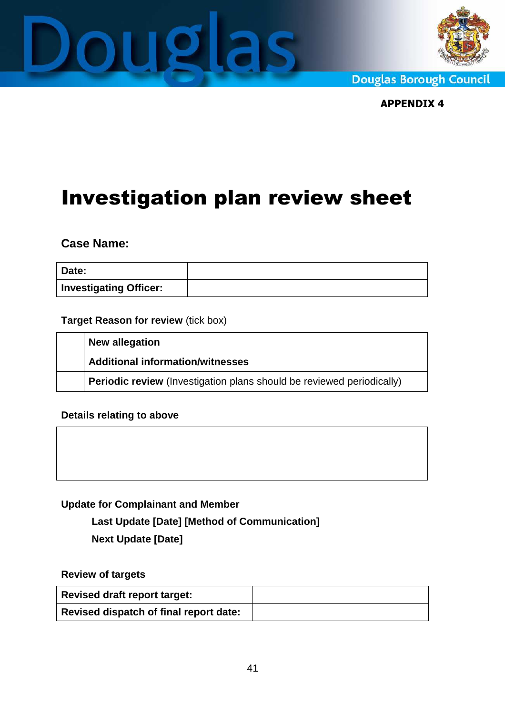



**Douglas Borough Council** 

APPENDIX 4

# Investigation plan review sheet

**Case Name:** 

| Date:                         |  |
|-------------------------------|--|
| <b>Investigating Officer:</b> |  |

#### **Target Reason for review** (tick box)

| New allegation                                                               |
|------------------------------------------------------------------------------|
| <b>Additional information/witnesses</b>                                      |
| <b>Periodic review</b> (Investigation plans should be reviewed periodically) |

**Details relating to above** 

#### **Update for Complainant and Member**

**Last Update [Date] [Method of Communication]** 

**Next Update [Date]** 

**Review of targets**

| <b>Revised draft report target:</b>    |  |
|----------------------------------------|--|
| Revised dispatch of final report date: |  |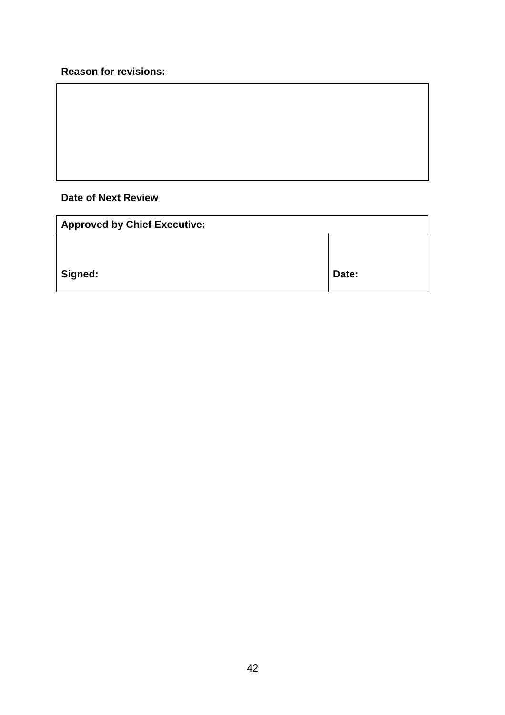#### **Reason for revisions:**

#### **Date of Next Review**

| <b>Approved by Chief Executive:</b> |       |  |
|-------------------------------------|-------|--|
|                                     |       |  |
| Signed:                             | Date: |  |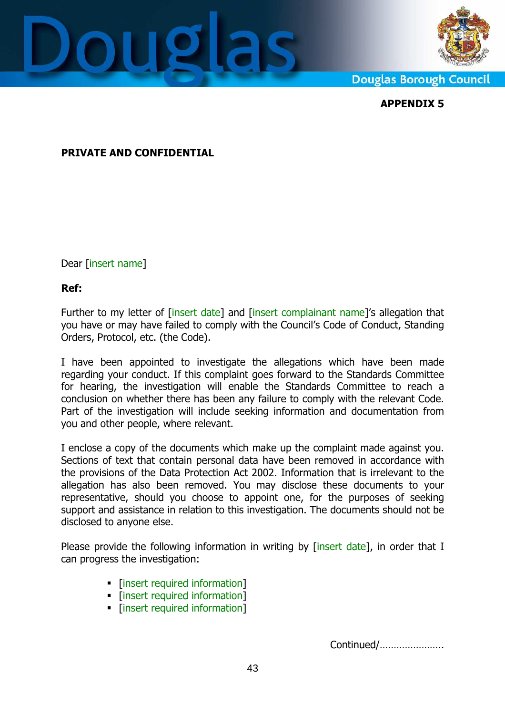



**Douglas Borough Council** 

APPENDIX 5

#### PRIVATE AND CONFIDENTIAL

Dear [insert name]

#### Ref:

Further to my letter of [insert date] and [insert complainant name]'s allegation that you have or may have failed to comply with the Council's Code of Conduct, Standing Orders, Protocol, etc. (the Code).

I have been appointed to investigate the allegations which have been made regarding your conduct. If this complaint goes forward to the Standards Committee for hearing, the investigation will enable the Standards Committee to reach a conclusion on whether there has been any failure to comply with the relevant Code. Part of the investigation will include seeking information and documentation from you and other people, where relevant.

I enclose a copy of the documents which make up the complaint made against you. Sections of text that contain personal data have been removed in accordance with the provisions of the Data Protection Act 2002. Information that is irrelevant to the allegation has also been removed. You may disclose these documents to your representative, should you choose to appoint one, for the purposes of seeking support and assistance in relation to this investigation. The documents should not be disclosed to anyone else.

Please provide the following information in writing by [insert date], in order that I can progress the investigation:

- [insert required information]
- Insert required information1
- [insert required information]

Continued/…………………..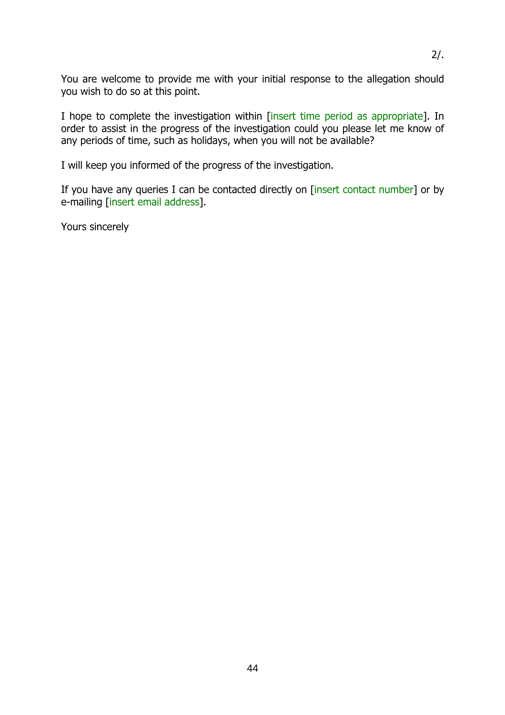You are welcome to provide me with your initial response to the allegation should you wish to do so at this point.

I hope to complete the investigation within [insert time period as appropriate]. In order to assist in the progress of the investigation could you please let me know of any periods of time, such as holidays, when you will not be available?

I will keep you informed of the progress of the investigation.

If you have any queries I can be contacted directly on [insert contact number] or by e-mailing [insert email address].

Yours sincerely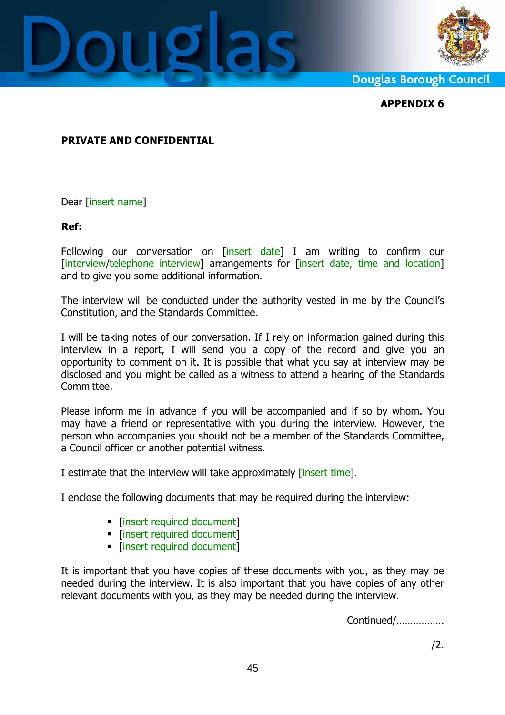



**Douglas Borough Council** 

APPENDIX 6

#### PRIVATE AND CONFIDENTIAL

Dear [insert name]

#### Ref:

Following our conversation on [insert date] I am writing to confirm our [interview/telephone interview] arrangements for [insert date, time and location] and to give you some additional information.

The interview will be conducted under the authority vested in me by the Council's Constitution, and the Standards Committee.

I will be taking notes of our conversation. If I rely on information gained during this interview in a report, I will send you a copy of the record and give you an opportunity to comment on it. It is possible that what you say at interview may be disclosed and you might be called as a witness to attend a hearing of the Standards Committee.

Please inform me in advance if you will be accompanied and if so by whom. You may have a friend or representative with you during the interview. However, the person who accompanies you should not be a member of the Standards Committee, a Council officer or another potential witness.

I estimate that the interview will take approximately [insert time].

I enclose the following documents that may be required during the interview:

- [insert required document]
- **Finsert required document]**
- **Example 1** [insert required document]

It is important that you have copies of these documents with you, as they may be needed during the interview. It is also important that you have copies of any other relevant documents with you, as they may be needed during the interview.

Continued/……………..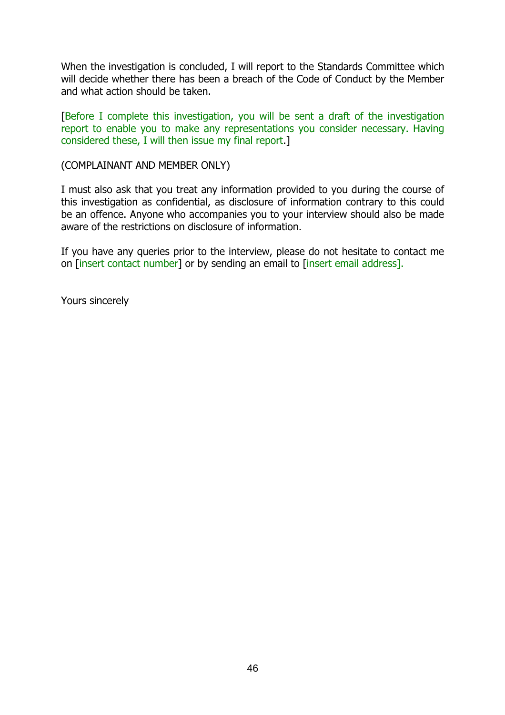When the investigation is concluded, I will report to the Standards Committee which will decide whether there has been a breach of the Code of Conduct by the Member and what action should be taken.

[Before I complete this investigation, you will be sent a draft of the investigation report to enable you to make any representations you consider necessary. Having considered these, I will then issue my final report.]

(COMPLAINANT AND MEMBER ONLY)

I must also ask that you treat any information provided to you during the course of this investigation as confidential, as disclosure of information contrary to this could be an offence. Anyone who accompanies you to your interview should also be made aware of the restrictions on disclosure of information.

If you have any queries prior to the interview, please do not hesitate to contact me on [insert contact number] or by sending an email to [insert email address].

Yours sincerely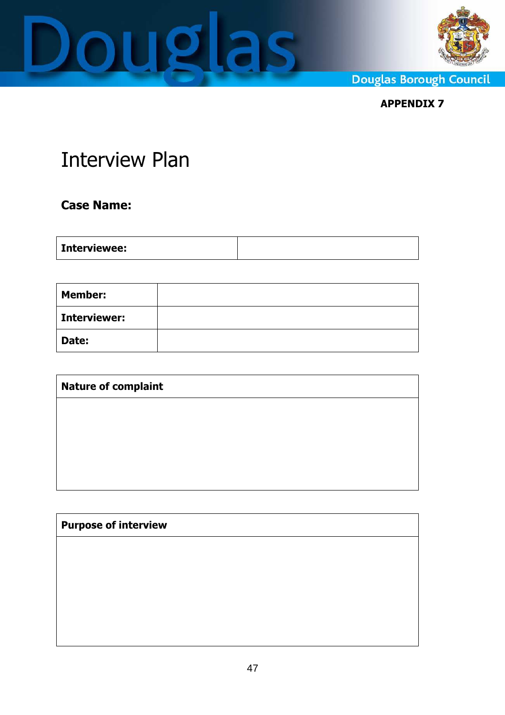



**Douglas Borough Council** 

APPENDIX 7

# Interview Plan

## Case Name:

|--|

| <b>Member:</b>      |  |
|---------------------|--|
| <b>Interviewer:</b> |  |
| Date:               |  |

| <b>Nature of complaint</b> |  |  |
|----------------------------|--|--|
|                            |  |  |
|                            |  |  |
|                            |  |  |
|                            |  |  |

| <b>Purpose of interview</b> |  |  |
|-----------------------------|--|--|
|                             |  |  |
|                             |  |  |
|                             |  |  |
|                             |  |  |
|                             |  |  |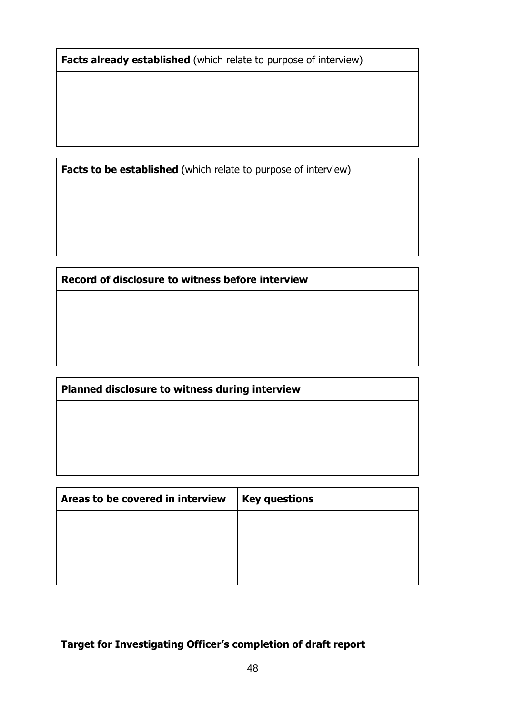Facts already established (which relate to purpose of interview)

Facts to be established (which relate to purpose of interview)

Record of disclosure to witness before interview

Planned disclosure to witness during interview

| Areas to be covered in interview | <b>Key questions</b> |
|----------------------------------|----------------------|
|                                  |                      |
|                                  |                      |
|                                  |                      |
|                                  |                      |

Target for Investigating Officer's completion of draft report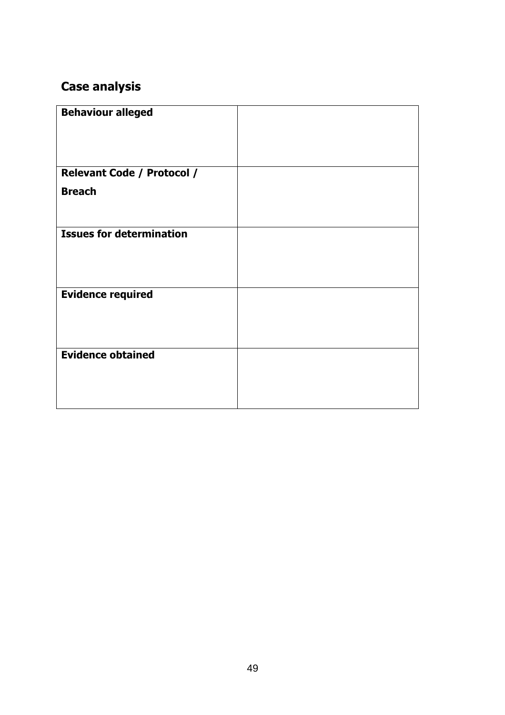# Case analysis

| <b>Behaviour alleged</b>          |  |
|-----------------------------------|--|
|                                   |  |
|                                   |  |
| <b>Relevant Code / Protocol /</b> |  |
| <b>Breach</b>                     |  |
|                                   |  |
|                                   |  |
| <b>Issues for determination</b>   |  |
|                                   |  |
|                                   |  |
|                                   |  |
| <b>Evidence required</b>          |  |
|                                   |  |
|                                   |  |
|                                   |  |
| <b>Evidence obtained</b>          |  |
|                                   |  |
|                                   |  |
|                                   |  |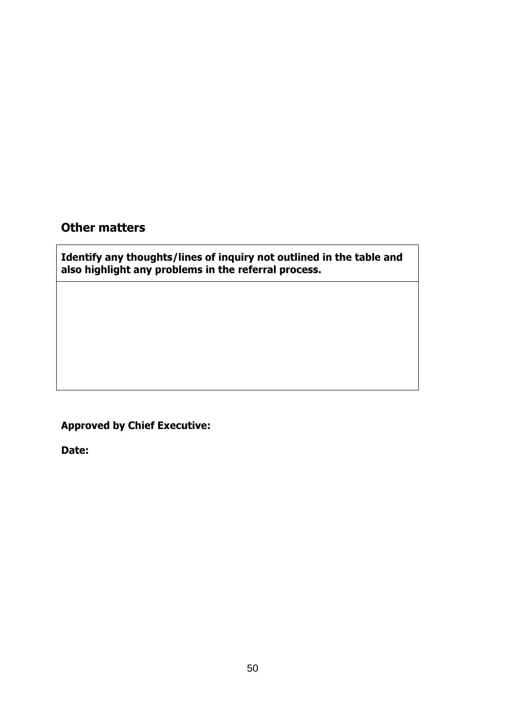### Other matters

Identify any thoughts/lines of inquiry not outlined in the table and also highlight any problems in the referral process.

## Approved by Chief Executive:

Date: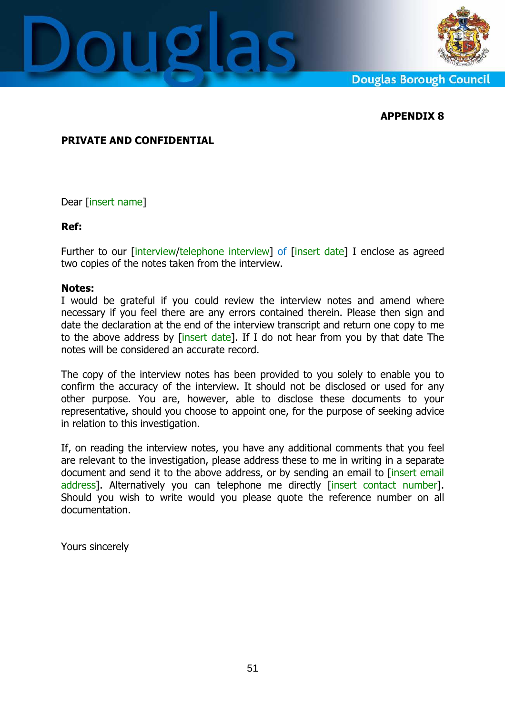



**Douglas Borough Council** 

#### APPENDIX 8

#### PRIVATE AND CONFIDENTIAL

Dear [insert name]

#### Ref:

Further to our [interview/telephone interview] of [insert date] I enclose as agreed two copies of the notes taken from the interview.

#### Notes:

I would be grateful if you could review the interview notes and amend where necessary if you feel there are any errors contained therein. Please then sign and date the declaration at the end of the interview transcript and return one copy to me to the above address by [insert date]. If I do not hear from you by that date The notes will be considered an accurate record.

The copy of the interview notes has been provided to you solely to enable you to confirm the accuracy of the interview. It should not be disclosed or used for any other purpose. You are, however, able to disclose these documents to your representative, should you choose to appoint one, for the purpose of seeking advice in relation to this investigation.

If, on reading the interview notes, you have any additional comments that you feel are relevant to the investigation, please address these to me in writing in a separate document and send it to the above address, or by sending an email to [insert email address]. Alternatively you can telephone me directly [insert contact number]. Should you wish to write would you please quote the reference number on all documentation.

Yours sincerely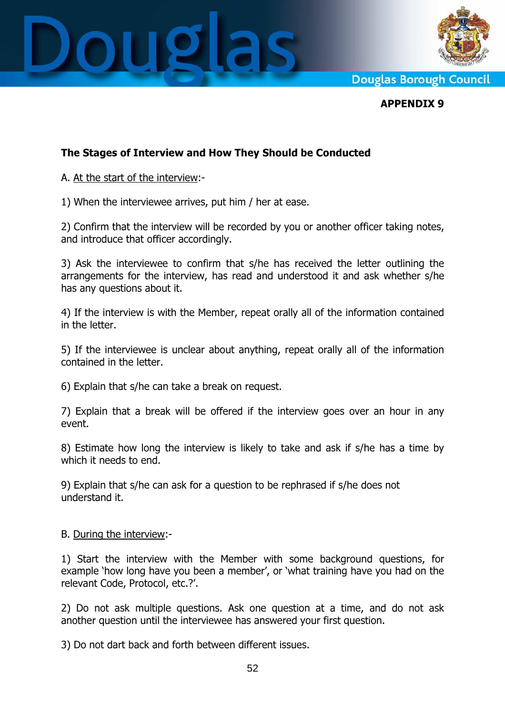



**Douglas Borough Council** 

APPENDIX 9

#### The Stages of Interview and How They Should be Conducted

A. At the start of the interview:-

1) When the interviewee arrives, put him / her at ease.

2) Confirm that the interview will be recorded by you or another officer taking notes, and introduce that officer accordingly.

3) Ask the interviewee to confirm that s/he has received the letter outlining the arrangements for the interview, has read and understood it and ask whether s/he has any questions about it.

4) If the interview is with the Member, repeat orally all of the information contained in the letter.

5) If the interviewee is unclear about anything, repeat orally all of the information contained in the letter.

6) Explain that s/he can take a break on request.

7) Explain that a break will be offered if the interview goes over an hour in any event.

8) Estimate how long the interview is likely to take and ask if s/he has a time by which it needs to end.

9) Explain that s/he can ask for a question to be rephrased if s/he does not understand it.

#### B. During the interview:-

1) Start the interview with the Member with some background questions, for example 'how long have you been a member', or 'what training have you had on the relevant Code, Protocol, etc.?'.

2) Do not ask multiple questions. Ask one question at a time, and do not ask another question until the interviewee has answered your first question.

3) Do not dart back and forth between different issues.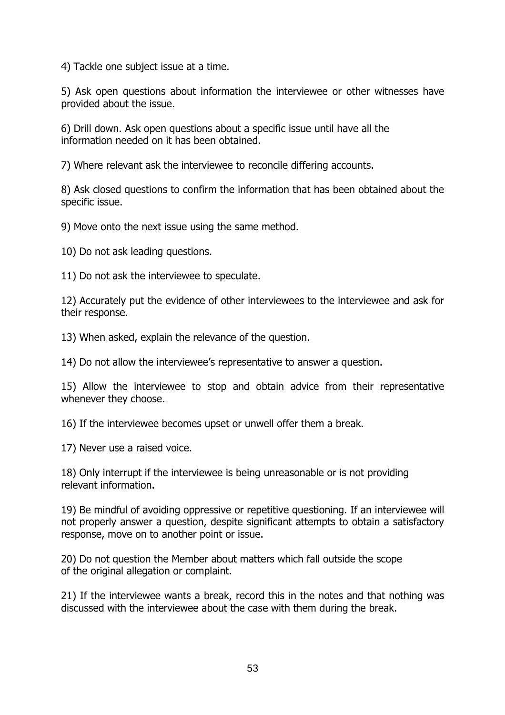4) Tackle one subject issue at a time.

5) Ask open questions about information the interviewee or other witnesses have provided about the issue.

6) Drill down. Ask open questions about a specific issue until have all the information needed on it has been obtained.

7) Where relevant ask the interviewee to reconcile differing accounts.

8) Ask closed questions to confirm the information that has been obtained about the specific issue.

9) Move onto the next issue using the same method.

10) Do not ask leading questions.

11) Do not ask the interviewee to speculate.

12) Accurately put the evidence of other interviewees to the interviewee and ask for their response.

13) When asked, explain the relevance of the question.

14) Do not allow the interviewee's representative to answer a question.

15) Allow the interviewee to stop and obtain advice from their representative whenever they choose.

16) If the interviewee becomes upset or unwell offer them a break.

17) Never use a raised voice.

18) Only interrupt if the interviewee is being unreasonable or is not providing relevant information.

19) Be mindful of avoiding oppressive or repetitive questioning. If an interviewee will not properly answer a question, despite significant attempts to obtain a satisfactory response, move on to another point or issue.

20) Do not question the Member about matters which fall outside the scope of the original allegation or complaint.

21) If the interviewee wants a break, record this in the notes and that nothing was discussed with the interviewee about the case with them during the break.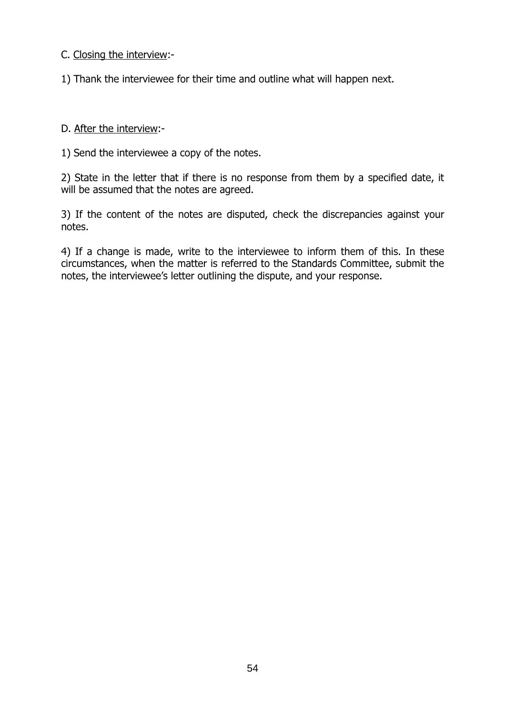C. Closing the interview:-

1) Thank the interviewee for their time and outline what will happen next.

#### D. After the interview:-

1) Send the interviewee a copy of the notes.

2) State in the letter that if there is no response from them by a specified date, it will be assumed that the notes are agreed.

3) If the content of the notes are disputed, check the discrepancies against your notes.

4) If a change is made, write to the interviewee to inform them of this. In these circumstances, when the matter is referred to the Standards Committee, submit the notes, the interviewee's letter outlining the dispute, and your response.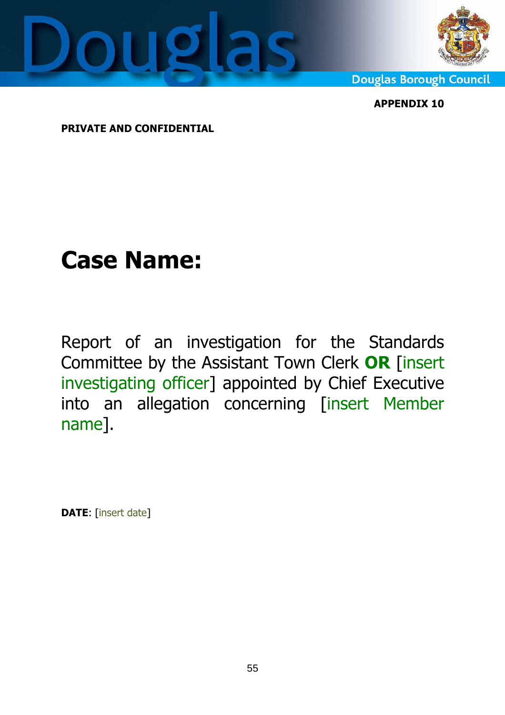



**Douglas Borough Council** 

APPENDIX 10

PRIVATE AND CONFIDENTIAL

# Case Name:

Report of an investigation for the Standards Committee by the Assistant Town Clerk OR [insert investigating officer] appointed by Chief Executive into an allegation concerning [insert Member name].

DATE: [insert date]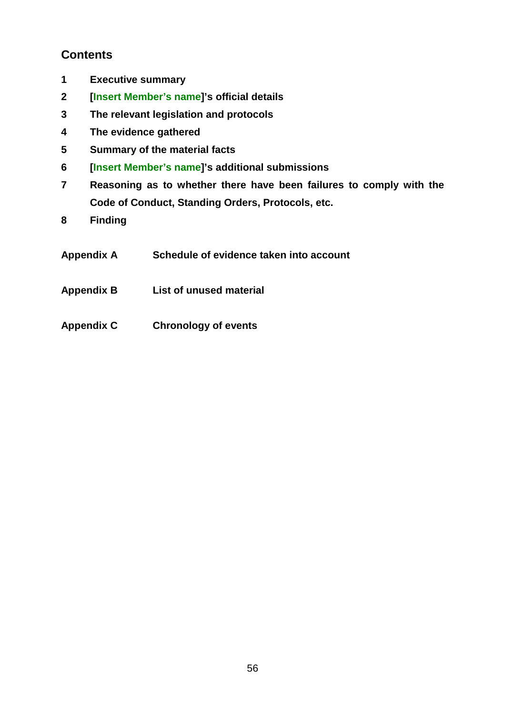### **Contents**

- **1 Executive summary**
- **2 [Insert Member's name]'s official details**
- **3 The relevant legislation and protocols**
- **4 The evidence gathered**
- **5 Summary of the material facts**
- **6 [Insert Member's name]'s additional submissions**
- **7 Reasoning as to whether there have been failures to comply with the Code of Conduct, Standing Orders, Protocols, etc.**
- **8 Finding**
- **Appendix A Schedule of evidence taken into account**
- **Appendix B List of unused material**
- **Appendix C Chronology of events**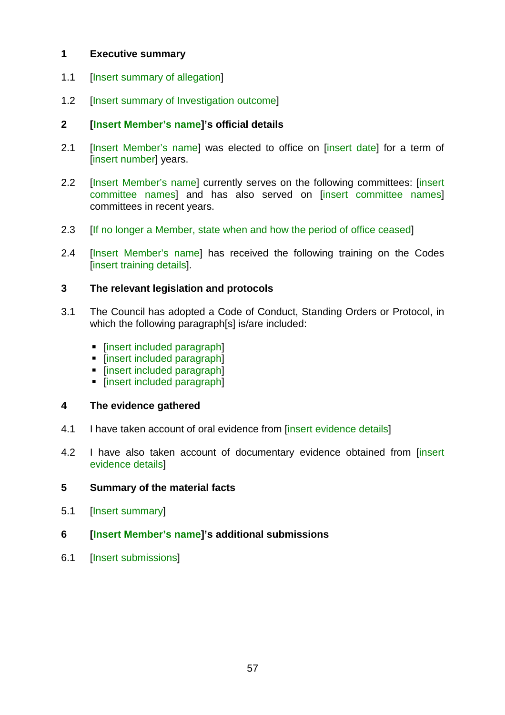#### **1 Executive summary**

- 1.1 [Insert summary of allegation]
- 1.2 **[Insert summary of Investigation outcome]**

#### **2 [Insert Member's name]'s official details**

- 2.1 [Insert Member's name] was elected to office on [insert date] for a term of [insert number] years.
- 2.2 [Insert Member's name] currently serves on the following committees: [insert committee names] and has also served on [insert committee names] committees in recent years.
- 2.3 **If no longer a Member, state when and how the period of office ceased**
- 2.4 [Insert Member's name] has received the following training on the Codes [insert training details].

#### **3 The relevant legislation and protocols**

- 3.1 The Council has adopted a Code of Conduct, Standing Orders or Protocol, in which the following paragraph[s] is/are included:
	- [insert included paragraph]
	- [insert included paragraph]
	- [insert included paragraph]
	- **Finsert included paragraph]**

#### **4 The evidence gathered**

- 4.1 I have taken account of oral evidence from [insert evidence details]
- 4.2 I have also taken account of documentary evidence obtained from [insert evidence details]

#### **5 Summary of the material facts**

5.1 [Insert summary]

#### **6 [Insert Member's name]'s additional submissions**

6.1 [Insert submissions]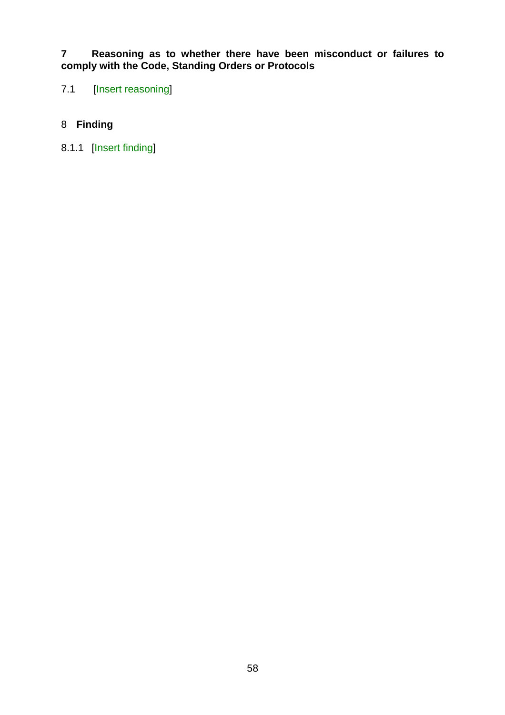**7 Reasoning as to whether there have been misconduct or failures to comply with the Code, Standing Orders or Protocols** 

7.1 [Insert reasoning]

#### 8 **Finding**

8.1.1 [Insert finding]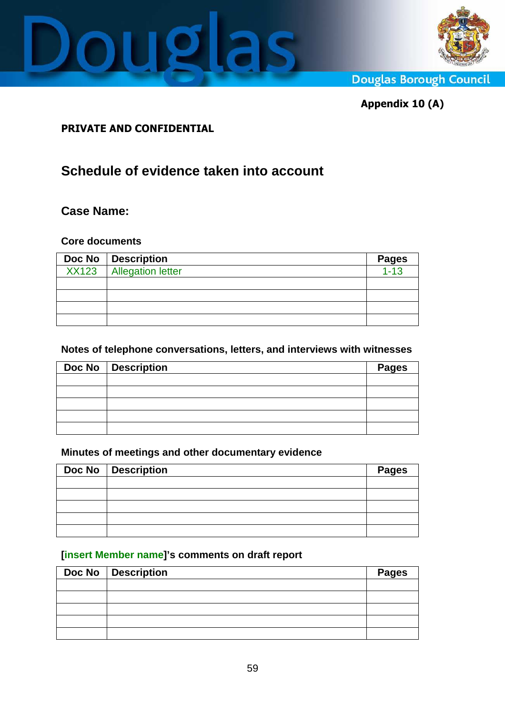



**Douglas Borough Council** 

Appendix 10 (A)

#### PRIVATE AND CONFIDENTIAL

# **Schedule of evidence taken into account**

#### **Case Name:**

#### **Core documents**

| Doc No   Description      | <b>Pages</b> |
|---------------------------|--------------|
| XX123   Allegation letter | $1 - 13$     |
|                           |              |
|                           |              |
|                           |              |
|                           |              |

#### **Notes of telephone conversations, letters, and interviews with witnesses**

| Doc No   Description | <b>Pages</b> |
|----------------------|--------------|
|                      |              |
|                      |              |
|                      |              |
|                      |              |
|                      |              |

#### **Minutes of meetings and other documentary evidence**

| Doc No   Description | <b>Pages</b> |
|----------------------|--------------|
|                      |              |
|                      |              |
|                      |              |
|                      |              |
|                      |              |

#### **[insert Member name]'s comments on draft report**

| Doc No   Description | <b>Pages</b> |
|----------------------|--------------|
|                      |              |
|                      |              |
|                      |              |
|                      |              |
|                      |              |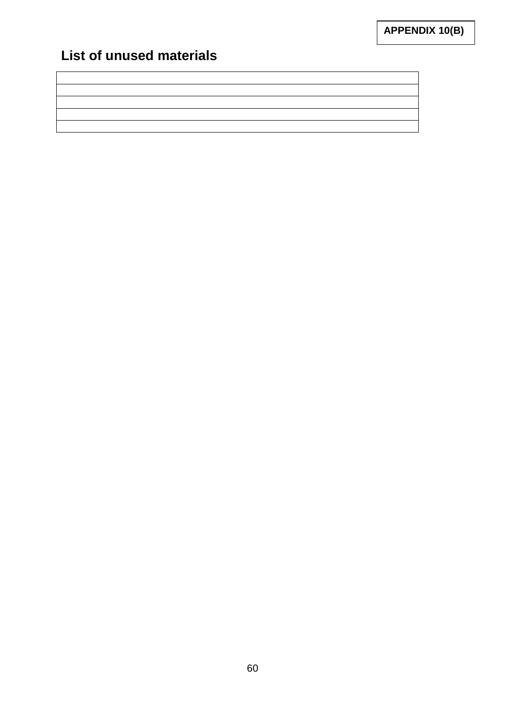# **List of unused materials**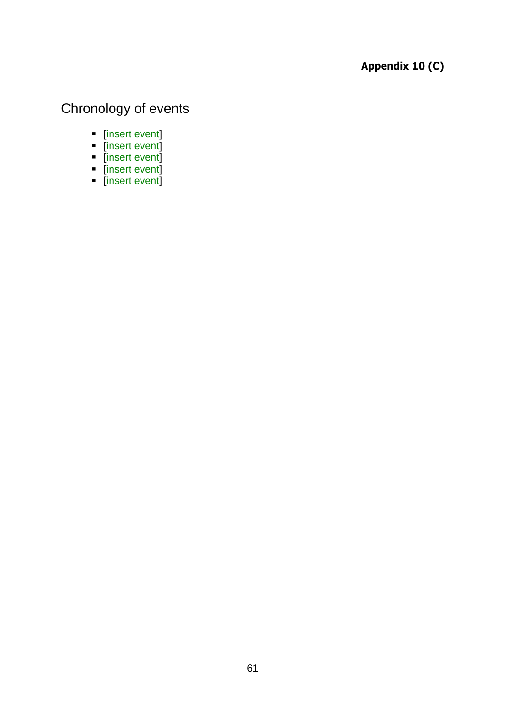## Appendix 10 (C)

# Chronology of events

- **F** [insert event]
- **F** [insert event]
- **F** [insert event]
- **F** [insert event]
- **F** [insert event]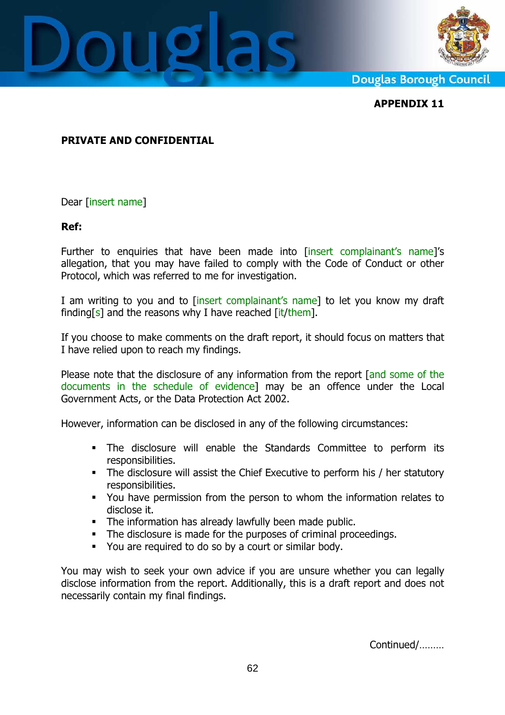



**Douglas Borough Council** 

APPENDIX 11

#### PRIVATE AND CONFIDENTIAL

Dear [insert name]

#### Ref:

Further to enquiries that have been made into [insert complainant's name]'s allegation, that you may have failed to comply with the Code of Conduct or other Protocol, which was referred to me for investigation.

I am writing to you and to *[insert complainant's name]* to let you know my draft finding[s] and the reasons why I have reached  $\left[\frac{\text{it}}{\text{it}}\right]$ 

If you choose to make comments on the draft report, it should focus on matters that I have relied upon to reach my findings.

Please note that the disclosure of any information from the report [and some of the documents in the schedule of evidence] may be an offence under the Local Government Acts, or the Data Protection Act 2002.

However, information can be disclosed in any of the following circumstances:

- The disclosure will enable the Standards Committee to perform its responsibilities.
- The disclosure will assist the Chief Executive to perform his / her statutory responsibilities.
- You have permission from the person to whom the information relates to disclose it.
- The information has already lawfully been made public.
- The disclosure is made for the purposes of criminal proceedings.
- You are required to do so by a court or similar body.

You may wish to seek your own advice if you are unsure whether you can legally disclose information from the report. Additionally, this is a draft report and does not necessarily contain my final findings.

Continued/………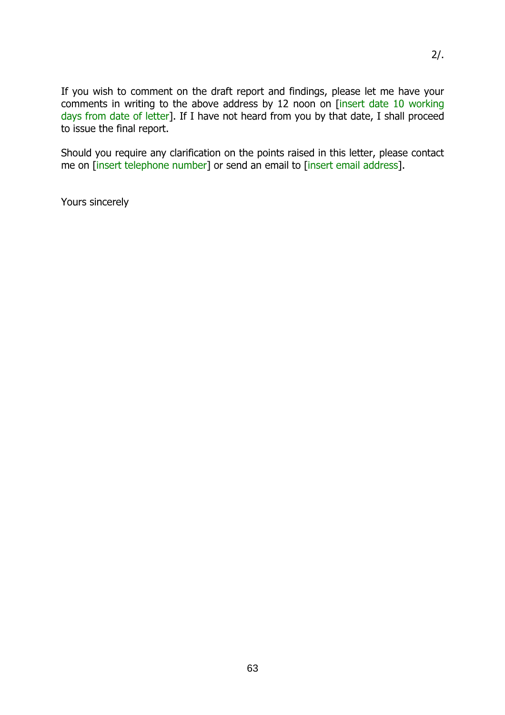If you wish to comment on the draft report and findings, please let me have your comments in writing to the above address by 12 noon on [insert date 10 working days from date of letter]. If I have not heard from you by that date, I shall proceed to issue the final report.

Should you require any clarification on the points raised in this letter, please contact me on [insert telephone number] or send an email to [insert email address].

Yours sincerely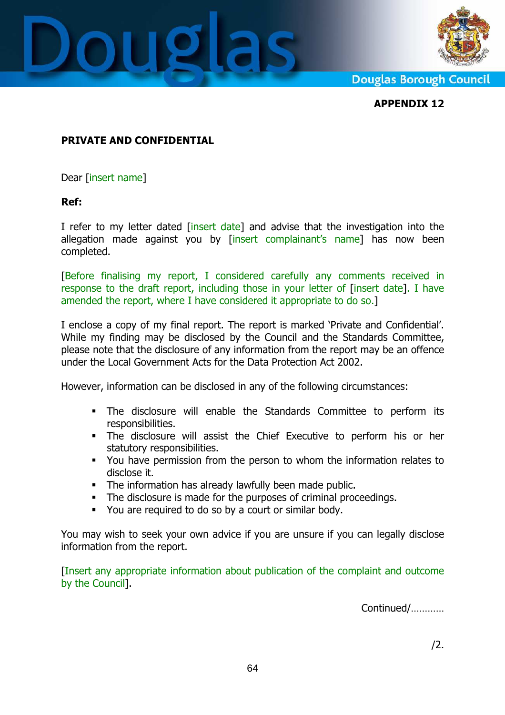



**Douglas Borough Council** 

APPENDIX 12

#### PRIVATE AND CONFIDENTIAL

Dear [insert name]

#### Ref:

I refer to my letter dated [insert date] and advise that the investigation into the allegation made against you by [insert complainant's name] has now been completed.

[Before finalising my report, I considered carefully any comments received in response to the draft report, including those in your letter of [insert date]. I have amended the report, where I have considered it appropriate to do so.]

I enclose a copy of my final report. The report is marked 'Private and Confidential'. While my finding may be disclosed by the Council and the Standards Committee, please note that the disclosure of any information from the report may be an offence under the Local Government Acts for the Data Protection Act 2002.

However, information can be disclosed in any of the following circumstances:

- The disclosure will enable the Standards Committee to perform its responsibilities.
- The disclosure will assist the Chief Executive to perform his or her statutory responsibilities.
- You have permission from the person to whom the information relates to disclose it.
- The information has already lawfully been made public.
- The disclosure is made for the purposes of criminal proceedings.
- You are required to do so by a court or similar body.

You may wish to seek your own advice if you are unsure if you can legally disclose information from the report.

[Insert any appropriate information about publication of the complaint and outcome by the Council].

Continued/…………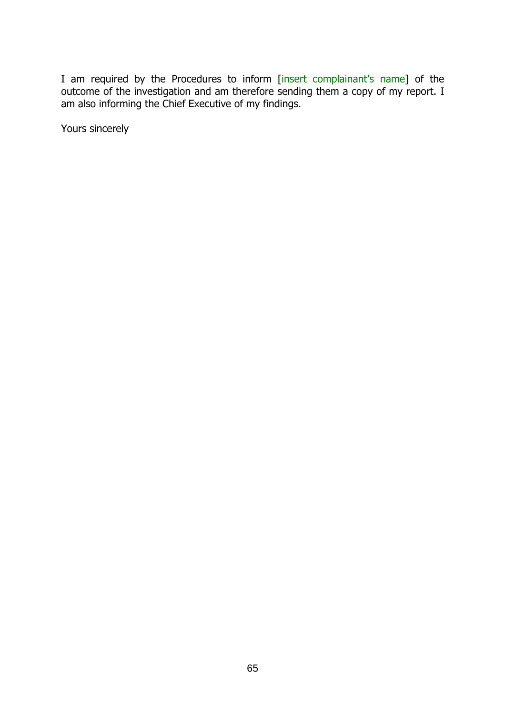I am required by the Procedures to inform [insert complainant's name] of the outcome of the investigation and am therefore sending them a copy of my report. I am also informing the Chief Executive of my findings.

Yours sincerely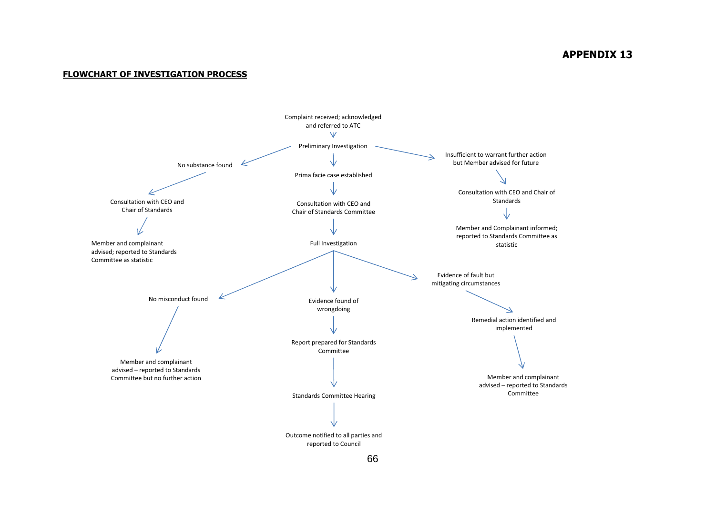#### APPENDIX 13

#### FLOWCHART OF INVESTIGATION PROCESS

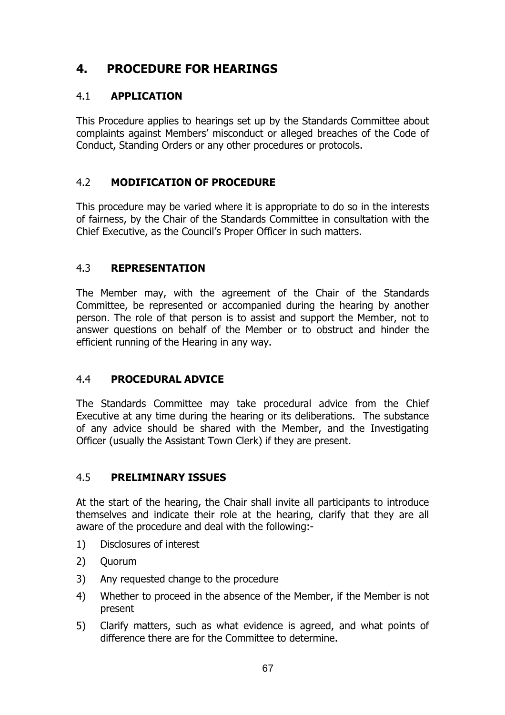## 4. PROCEDURE FOR HEARINGS

#### 4.1 APPLICATION

This Procedure applies to hearings set up by the Standards Committee about complaints against Members' misconduct or alleged breaches of the Code of Conduct, Standing Orders or any other procedures or protocols.

#### 4.2 MODIFICATION OF PROCEDURE

This procedure may be varied where it is appropriate to do so in the interests of fairness, by the Chair of the Standards Committee in consultation with the Chief Executive, as the Council's Proper Officer in such matters.

#### 4.3 REPRESENTATION

The Member may, with the agreement of the Chair of the Standards Committee, be represented or accompanied during the hearing by another person. The role of that person is to assist and support the Member, not to answer questions on behalf of the Member or to obstruct and hinder the efficient running of the Hearing in any way.

#### 4.4 PROCEDURAL ADVICE

The Standards Committee may take procedural advice from the Chief Executive at any time during the hearing or its deliberations. The substance of any advice should be shared with the Member, and the Investigating Officer (usually the Assistant Town Clerk) if they are present.

#### 4.5 PRELIMINARY ISSUES

At the start of the hearing, the Chair shall invite all participants to introduce themselves and indicate their role at the hearing, clarify that they are all aware of the procedure and deal with the following:-

- 1) Disclosures of interest
- 2) Quorum
- 3) Any requested change to the procedure
- 4) Whether to proceed in the absence of the Member, if the Member is not present
- 5) Clarify matters, such as what evidence is agreed, and what points of difference there are for the Committee to determine.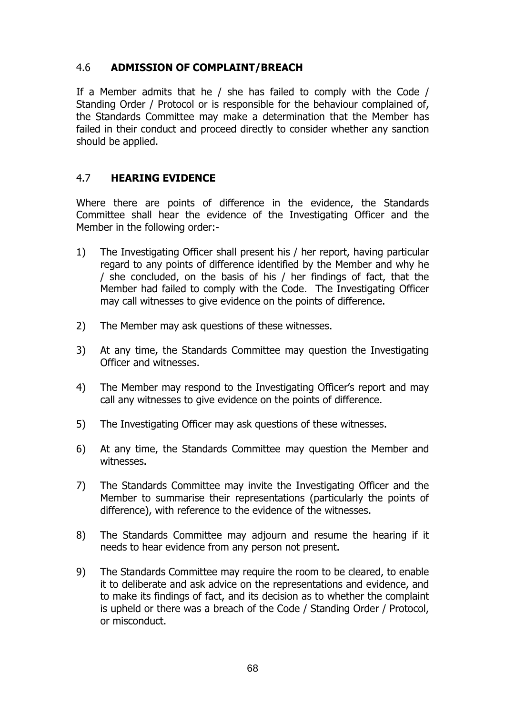#### 4.6 ADMISSION OF COMPLAINT/BREACH

If a Member admits that he / she has failed to comply with the Code / Standing Order / Protocol or is responsible for the behaviour complained of, the Standards Committee may make a determination that the Member has failed in their conduct and proceed directly to consider whether any sanction should be applied.

#### 4.7 HEARING EVIDENCE

Where there are points of difference in the evidence, the Standards Committee shall hear the evidence of the Investigating Officer and the Member in the following order:-

- 1) The Investigating Officer shall present his / her report, having particular regard to any points of difference identified by the Member and why he / she concluded, on the basis of his / her findings of fact, that the Member had failed to comply with the Code. The Investigating Officer may call witnesses to give evidence on the points of difference.
- 2) The Member may ask questions of these witnesses.
- 3) At any time, the Standards Committee may question the Investigating Officer and witnesses.
- 4) The Member may respond to the Investigating Officer's report and may call any witnesses to give evidence on the points of difference.
- 5) The Investigating Officer may ask questions of these witnesses.
- 6) At any time, the Standards Committee may question the Member and witnesses.
- 7) The Standards Committee may invite the Investigating Officer and the Member to summarise their representations (particularly the points of difference), with reference to the evidence of the witnesses.
- 8) The Standards Committee may adjourn and resume the hearing if it needs to hear evidence from any person not present.
- 9) The Standards Committee may require the room to be cleared, to enable it to deliberate and ask advice on the representations and evidence, and to make its findings of fact, and its decision as to whether the complaint is upheld or there was a breach of the Code / Standing Order / Protocol, or misconduct.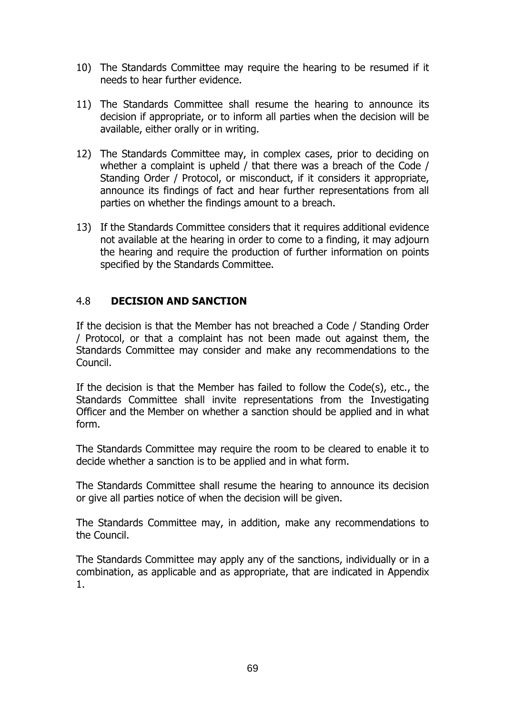- 10) The Standards Committee may require the hearing to be resumed if it needs to hear further evidence.
- 11) The Standards Committee shall resume the hearing to announce its decision if appropriate, or to inform all parties when the decision will be available, either orally or in writing.
- 12) The Standards Committee may, in complex cases, prior to deciding on whether a complaint is upheld / that there was a breach of the Code / Standing Order / Protocol, or misconduct, if it considers it appropriate, announce its findings of fact and hear further representations from all parties on whether the findings amount to a breach.
- 13) If the Standards Committee considers that it requires additional evidence not available at the hearing in order to come to a finding, it may adjourn the hearing and require the production of further information on points specified by the Standards Committee.

#### 4.8 DECISION AND SANCTION

If the decision is that the Member has not breached a Code / Standing Order / Protocol, or that a complaint has not been made out against them, the Standards Committee may consider and make any recommendations to the Council.

If the decision is that the Member has failed to follow the Code(s), etc., the Standards Committee shall invite representations from the Investigating Officer and the Member on whether a sanction should be applied and in what form.

The Standards Committee may require the room to be cleared to enable it to decide whether a sanction is to be applied and in what form.

The Standards Committee shall resume the hearing to announce its decision or give all parties notice of when the decision will be given.

The Standards Committee may, in addition, make any recommendations to the Council.

The Standards Committee may apply any of the sanctions, individually or in a combination, as applicable and as appropriate, that are indicated in Appendix 1.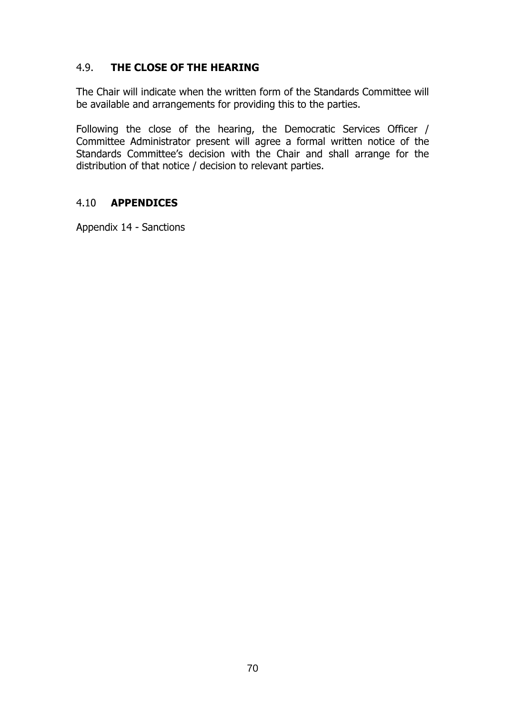#### 4.9. THE CLOSE OF THE HEARING

The Chair will indicate when the written form of the Standards Committee will be available and arrangements for providing this to the parties.

Following the close of the hearing, the Democratic Services Officer / Committee Administrator present will agree a formal written notice of the Standards Committee's decision with the Chair and shall arrange for the distribution of that notice / decision to relevant parties.

#### 4.10 APPENDICES

Appendix 14 - Sanctions